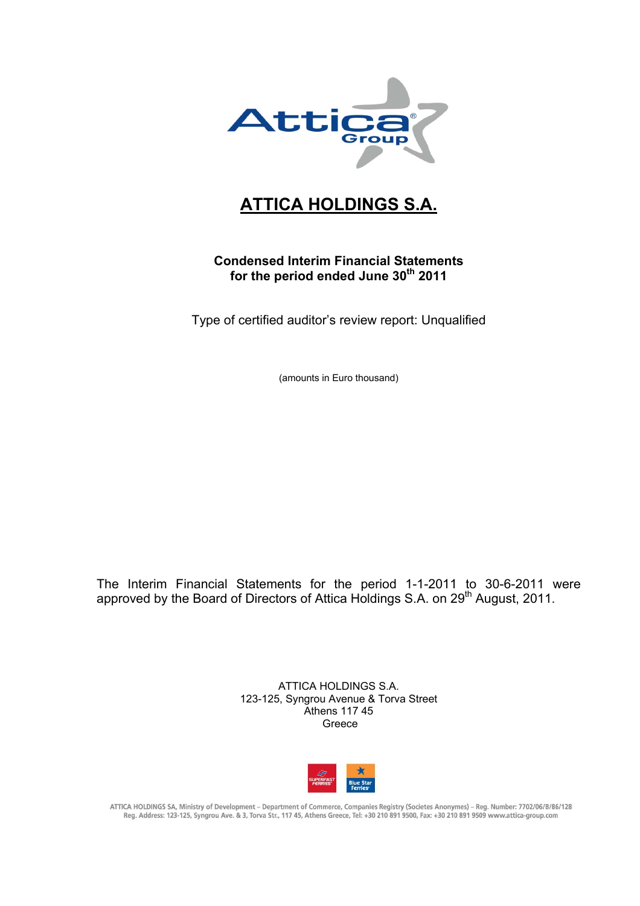

# **ATTICA HOLDINGS S.A.**

# **Condensed Interim Financial Statements**  for the period ended June 30<sup>th</sup> 2011

Type of certified auditor's review report: Unqualified

(amounts in Euro thousand)

The Interim Financial Statements for the period 1-1-2011 to 30-6-2011 were approved by the Board of Directors of Attica Holdings S.A. on 29<sup>th</sup> August, 2011.

> ATTICA HOLDINGS S.A. 123-125, Syngrou Avenue & Torva Street Athens 117 45 Greece



ATTICA HOLDINGS SA, Ministry of Development - Department of Commerce, Companies Registry (Societes Anonymes) - Reg. Number: 7702/06/B/86/128 Reg. Address: 123-125, Syngrou Ave. & 3, Torva Str., 117 45, Athens Greece, Tel: +30 210 891 9500, Fax: +30 210 891 9509 www.attica-group.com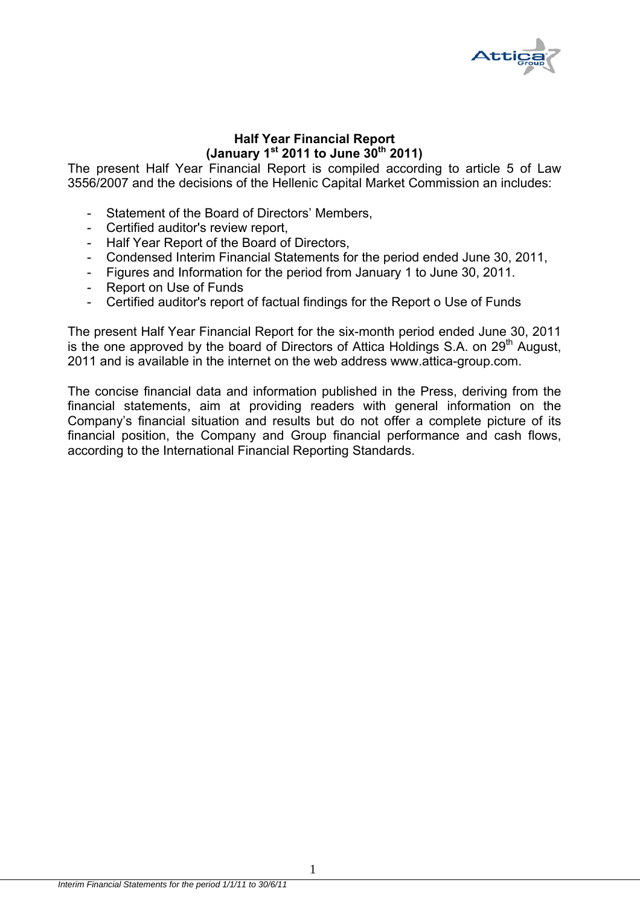

# **Half Year Financial Report (January 1st 2011 to June 30th 2011)**

The present Half Year Financial Report is compiled according to article 5 of Law 3556/2007 and the decisions of the Hellenic Capital Market Commission an includes:

- Statement of the Board of Directors' Members,
- Certified auditor's review report,
- Half Year Report of the Board of Directors,
- Condensed Interim Financial Statements for the period ended June 30, 2011,
- Figures and Information for the period from January 1 to June 30, 2011.
- Report on Use of Funds
- Certified auditor's report of factual findings for the Report o Use of Funds

The present Half Year Financial Report for the six-month period ended June 30, 2011 is the one approved by the board of Directors of Attica Holdings S.A. on  $29<sup>th</sup>$  August, 2011 and is available in the internet on the web address www.attica-group.com.

The concise financial data and information published in the Press, deriving from the financial statements, aim at providing readers with general information on the Company's financial situation and results but do not offer a complete picture of its financial position, the Company and Group financial performance and cash flows, according to the International Financial Reporting Standards.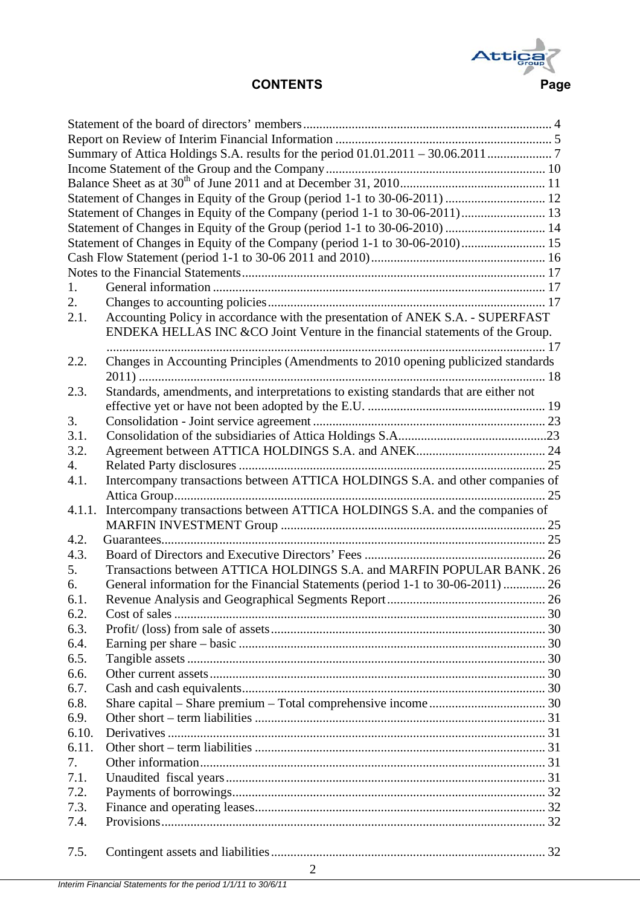

|        | Statement of Changes in Equity of the Group (period 1-1 to 30-06-2011)  12           |  |  |  |  |  |  |  |
|--------|--------------------------------------------------------------------------------------|--|--|--|--|--|--|--|
|        | Statement of Changes in Equity of the Company (period 1-1 to 30-06-2011) 13          |  |  |  |  |  |  |  |
|        |                                                                                      |  |  |  |  |  |  |  |
|        | Statement of Changes in Equity of the Company (period 1-1 to 30-06-2010) 15          |  |  |  |  |  |  |  |
|        |                                                                                      |  |  |  |  |  |  |  |
|        |                                                                                      |  |  |  |  |  |  |  |
|        |                                                                                      |  |  |  |  |  |  |  |
| 1.     |                                                                                      |  |  |  |  |  |  |  |
| 2.     |                                                                                      |  |  |  |  |  |  |  |
| 2.1.   | Accounting Policy in accordance with the presentation of ANEK S.A. - SUPERFAST       |  |  |  |  |  |  |  |
|        | ENDEKA HELLAS INC & CO Joint Venture in the financial statements of the Group.       |  |  |  |  |  |  |  |
|        |                                                                                      |  |  |  |  |  |  |  |
| 2.2.   | Changes in Accounting Principles (Amendments to 2010 opening publicized standards    |  |  |  |  |  |  |  |
| 2.3.   | Standards, amendments, and interpretations to existing standards that are either not |  |  |  |  |  |  |  |
|        |                                                                                      |  |  |  |  |  |  |  |
| 3.     |                                                                                      |  |  |  |  |  |  |  |
| 3.1.   |                                                                                      |  |  |  |  |  |  |  |
| 3.2.   |                                                                                      |  |  |  |  |  |  |  |
| 4.     |                                                                                      |  |  |  |  |  |  |  |
|        | Intercompany transactions between ATTICA HOLDINGS S.A. and other companies of        |  |  |  |  |  |  |  |
| 4.1.   |                                                                                      |  |  |  |  |  |  |  |
| 4.1.1. | Intercompany transactions between ATTICA HOLDINGS S.A. and the companies of          |  |  |  |  |  |  |  |
|        |                                                                                      |  |  |  |  |  |  |  |
| 4.2.   |                                                                                      |  |  |  |  |  |  |  |
| 4.3.   |                                                                                      |  |  |  |  |  |  |  |
| 5.     | Transactions between ATTICA HOLDINGS S.A. and MARFIN POPULAR BANK. 26                |  |  |  |  |  |  |  |
| 6.     | General information for the Financial Statements (period 1-1 to 30-06-2011)  26      |  |  |  |  |  |  |  |
| 6.1    |                                                                                      |  |  |  |  |  |  |  |
| 6.2.   |                                                                                      |  |  |  |  |  |  |  |
| 6.3.   |                                                                                      |  |  |  |  |  |  |  |
| 6.4.   |                                                                                      |  |  |  |  |  |  |  |
| 6.5.   |                                                                                      |  |  |  |  |  |  |  |
| 6.6.   |                                                                                      |  |  |  |  |  |  |  |
| 6.7.   |                                                                                      |  |  |  |  |  |  |  |
| 6.8.   |                                                                                      |  |  |  |  |  |  |  |
| 6.9.   |                                                                                      |  |  |  |  |  |  |  |
| 6.10.  |                                                                                      |  |  |  |  |  |  |  |
|        |                                                                                      |  |  |  |  |  |  |  |
| 6.11.  |                                                                                      |  |  |  |  |  |  |  |
| 7.     |                                                                                      |  |  |  |  |  |  |  |
| 7.1.   |                                                                                      |  |  |  |  |  |  |  |
| 7.2.   |                                                                                      |  |  |  |  |  |  |  |
| 7.3.   |                                                                                      |  |  |  |  |  |  |  |
| 7.4.   |                                                                                      |  |  |  |  |  |  |  |
| 7.5.   |                                                                                      |  |  |  |  |  |  |  |
|        |                                                                                      |  |  |  |  |  |  |  |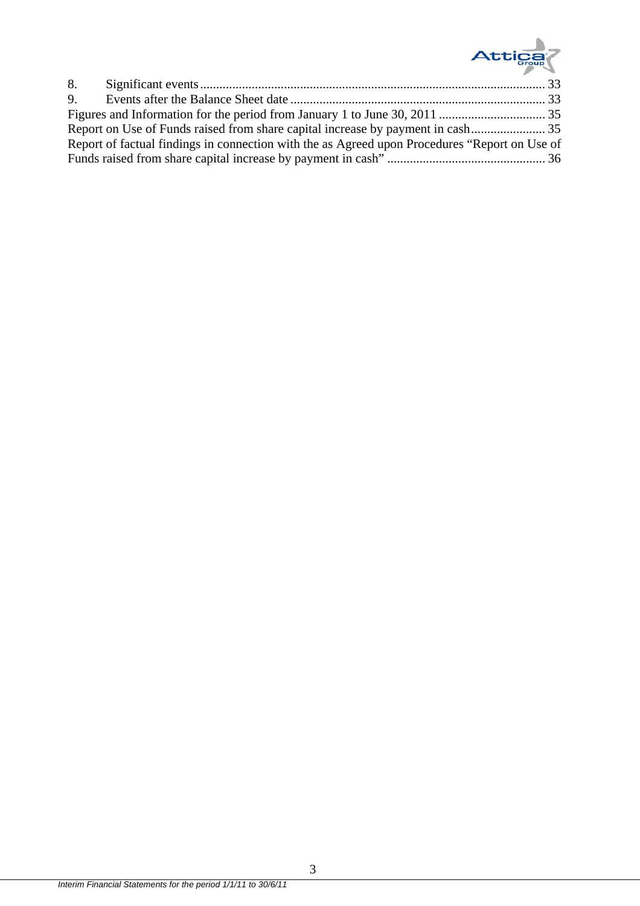

| Report of factual findings in connection with the as Agreed upon Procedures "Report on Use of |  |
|-----------------------------------------------------------------------------------------------|--|
|                                                                                               |  |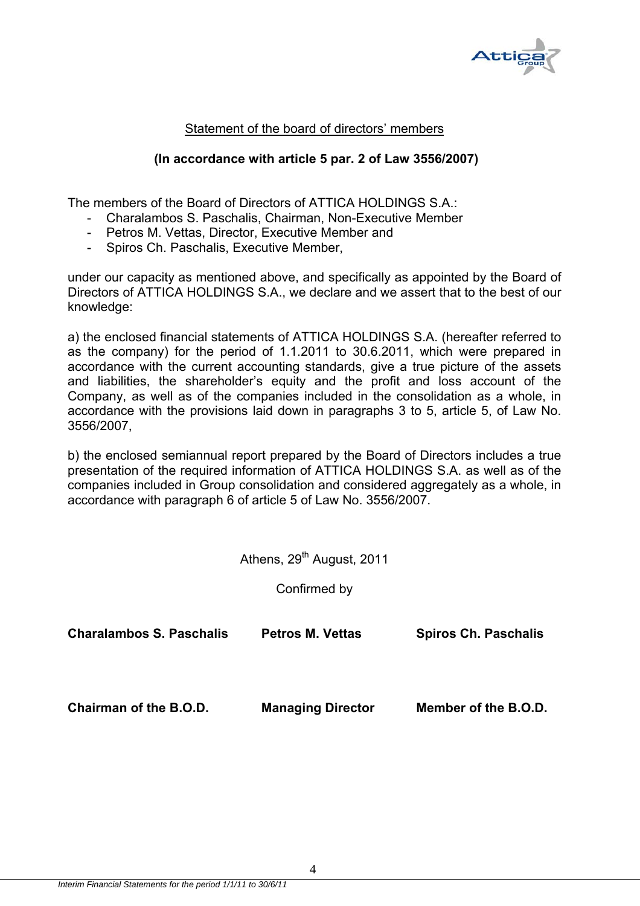

# Statement of the board of directors' members

# **(In accordance with article 5 par. 2 of Law 3556/2007)**

The members of the Board of Directors of ATTICA HOLDINGS S.A.:

- Charalambos S. Paschalis, Chairman, Non-Executive Member
- Petros M. Vettas, Director, Executive Member and
- Spiros Ch. Paschalis, Executive Member,

under our capacity as mentioned above, and specifically as appointed by the Board of Directors of ATTICA HOLDINGS S.A., we declare and we assert that to the best of our knowledge:

a) the enclosed financial statements of ATTICA HOLDINGS S.A. (hereafter referred to as the company) for the period of 1.1.2011 to 30.6.2011, which were prepared in accordance with the current accounting standards, give a true picture of the assets and liabilities, the shareholder's equity and the profit and loss account of the Company, as well as of the companies included in the consolidation as a whole, in accordance with the provisions laid down in paragraphs 3 to 5, article 5, of Law No. 3556/2007,

b) the enclosed semiannual report prepared by the Board of Directors includes a true presentation of the required information of ATTICA HOLDINGS S.A. as well as of the companies included in Group consolidation and considered aggregately as a whole, in accordance with paragraph 6 of article 5 of Law No. 3556/2007.

Athens, 29<sup>th</sup> August, 2011

Confirmed by

| <b>Charalambos S. Paschalis</b> | <b>Petros M. Vettas</b>  | <b>Spiros Ch. Paschalis</b> |
|---------------------------------|--------------------------|-----------------------------|
| Chairman of the B.O.D.          | <b>Managing Director</b> | Member of the B.O.D.        |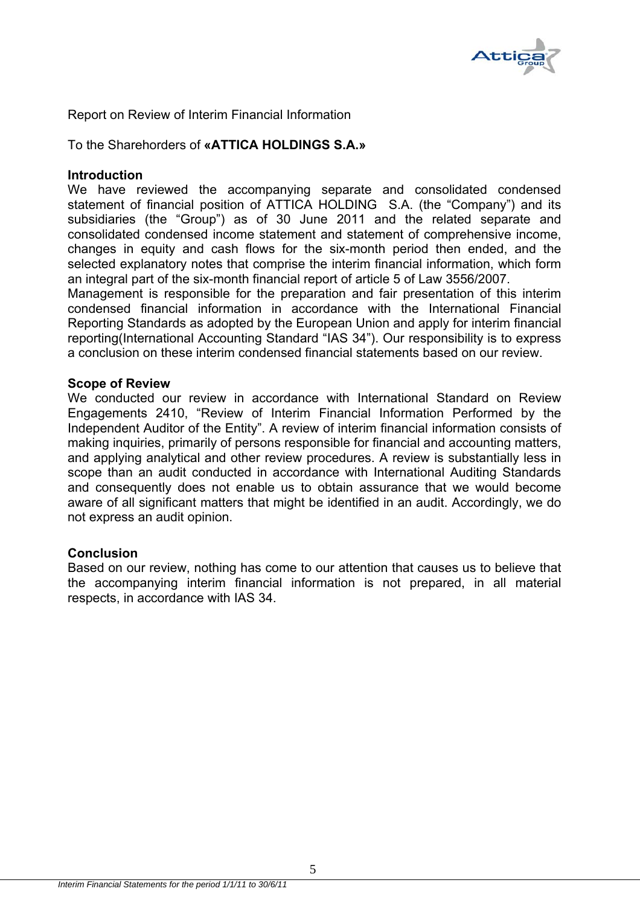

Report on Review of Interim Financial Information

To the Sharehorders of **«ATTICA HOLDINGS S.A.»** 

#### **Introduction**

We have reviewed the accompanying separate and consolidated condensed statement of financial position of ATTICA HOLDING S.A. (the "Company") and its subsidiaries (the "Group") as of 30 June 2011 and the related separate and consolidated condensed income statement and statement of comprehensive income, changes in equity and cash flows for the six-month period then ended, and the selected explanatory notes that comprise the interim financial information, which form an integral part of the six-month financial report of article 5 of Law 3556/2007.

Management is responsible for the preparation and fair presentation of this interim condensed financial information in accordance with the International Financial Reporting Standards as adopted by the European Union and apply for interim financial reporting(International Accounting Standard "IAS 34"). Our responsibility is to express a conclusion on these interim condensed financial statements based on our review.

#### **Scope of Review**

We conducted our review in accordance with International Standard on Review Engagements 2410, "Review of Interim Financial Information Performed by the Independent Auditor of the Entity". A review of interim financial information consists of making inquiries, primarily of persons responsible for financial and accounting matters, and applying analytical and other review procedures. A review is substantially less in scope than an audit conducted in accordance with International Auditing Standards and consequently does not enable us to obtain assurance that we would become aware of all significant matters that might be identified in an audit. Accordingly, we do not express an audit opinion.

# **Conclusion**

Based on our review, nothing has come to our attention that causes us to believe that the accompanying interim financial information is not prepared, in all material respects, in accordance with IAS 34.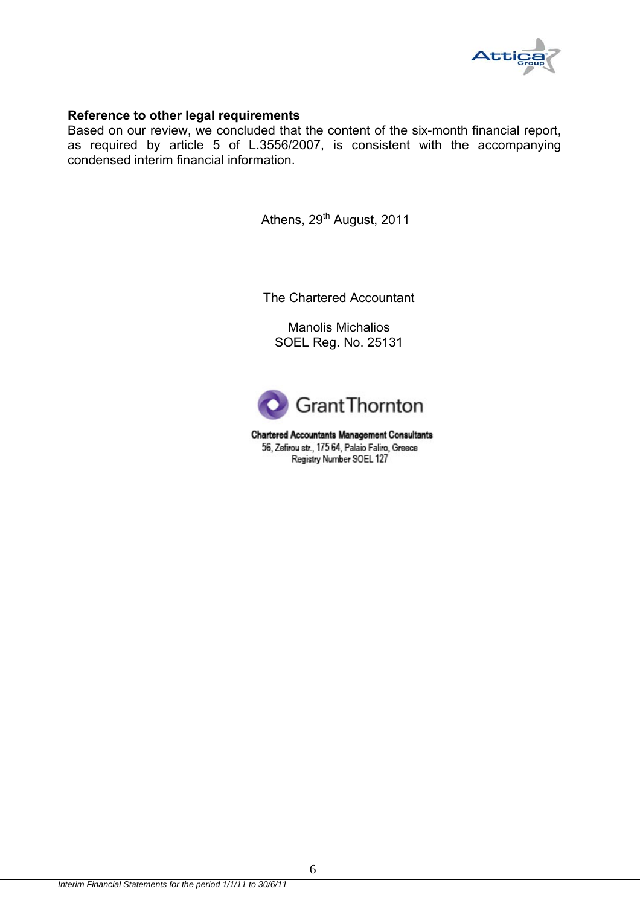

#### **Reference to other legal requirements**

Based on our review, we concluded that the content of the six-month financial report, as required by article 5 of L.3556/2007, is consistent with the accompanying condensed interim financial information.

Athens, 29<sup>th</sup> August, 2011

The Chartered Accountant

Manolis Michalios SOEL Reg. No. 25131



**Chartered Accountants Management Consultants** 56, Zefirou str., 175 64, Palaio Faliro, Greece Registry Number SOEL 127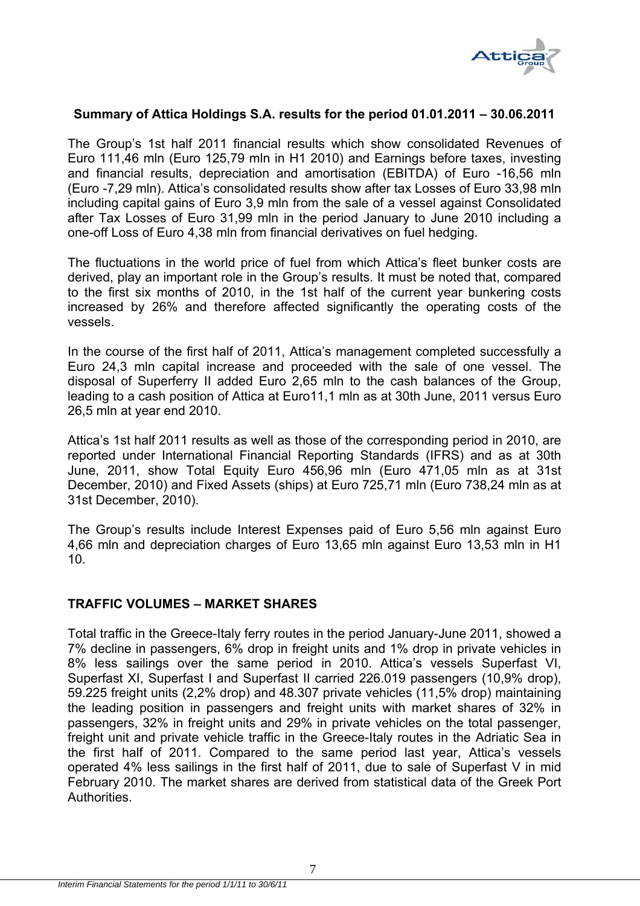

#### **Summary of Attica Holdings S.A. results for the period 01.01.2011 – 30.06.2011**

The Group's 1st half 2011 financial results which show consolidated Revenues of Euro 111,46 mln (Euro 125,79 mln in H1 2010) and Earnings before taxes, investing and financial results, depreciation and amortisation (EBITDA) of Euro -16,56 mln (Euro -7,29 mln). Attica's consolidated results show after tax Losses of Euro 33,98 mln including capital gains of Euro 3,9 mln from the sale of a vessel against Consolidated after Tax Losses of Euro 31,99 mln in the period January to June 2010 including a one-off Loss of Euro 4,38 mln from financial derivatives on fuel hedging.

The fluctuations in the world price of fuel from which Attica's fleet bunker costs are derived, play an important role in the Group's results. It must be noted that, compared to the first six months of 2010, in the 1st half of the current year bunkering costs increased by 26% and therefore affected significantly the operating costs of the vessels.

In the course of the first half of 2011, Attica's management completed successfully a Euro 24,3 mln capital increase and proceeded with the sale of one vessel. The disposal of Superferry II added Euro 2,65 mln to the cash balances of the Group, leading to a cash position of Attica at Euro11,1 mln as at 30th June, 2011 versus Euro 26,5 mln at year end 2010.

Attica's 1st half 2011 results as well as those of the corresponding period in 2010, are reported under International Financial Reporting Standards (IFRS) and as at 30th June, 2011, show Total Equity Euro 456,96 mln (Euro 471,05 mln as at 31st December, 2010) and Fixed Assets (ships) at Euro 725,71 mln (Euro 738,24 mln as at 31st December, 2010).

The Group's results include Interest Expenses paid of Euro 5,56 mln against Euro 4,66 mln and depreciation charges of Euro 13,65 mln against Euro 13,53 mln in H1 10.

# **TRAFFIC VOLUMES – MARKET SHARES**

Total traffic in the Greece-Italy ferry routes in the period January-June 2011, showed a 7% decline in passengers, 6% drop in freight units and 1% drop in private vehicles in 8% less sailings over the same period in 2010. Attica's vessels Superfast VI, Superfast XI, Superfast I and Superfast II carried 226.019 passengers (10,9% drop), 59.225 freight units (2,2% drop) and 48.307 private vehicles (11,5% drop) maintaining the leading position in passengers and freight units with market shares of 32% in passengers, 32% in freight units and 29% in private vehicles on the total passenger, freight unit and private vehicle traffic in the Greece-Italy routes in the Adriatic Sea in the first half of 2011. Compared to the same period last year, Attica's vessels operated 4% less sailings in the first half of 2011, due to sale of Superfast V in mid February 2010. The market shares are derived from statistical data of the Greek Port Authorities.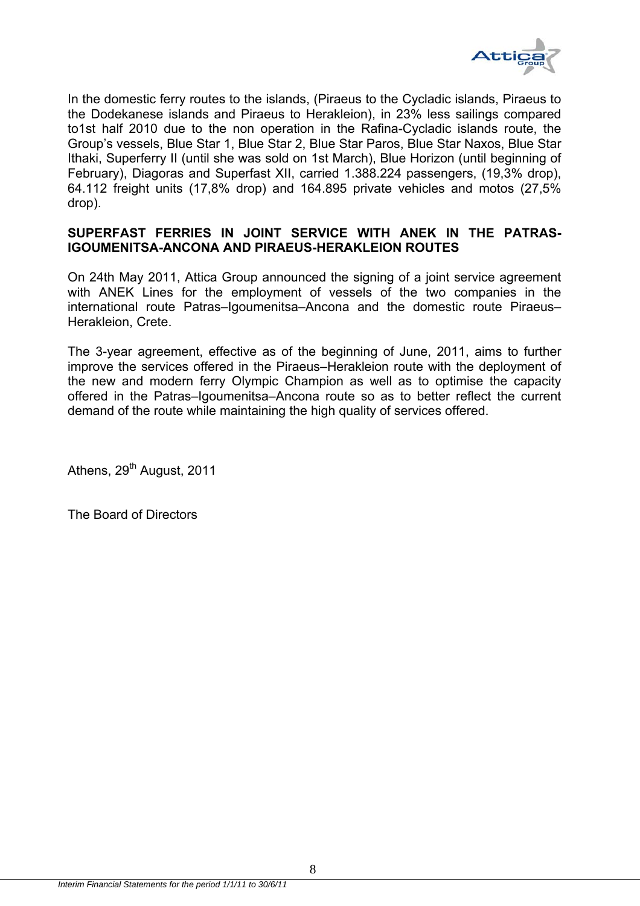

In the domestic ferry routes to the islands, (Piraeus to the Cycladic islands, Piraeus to the Dodekanese islands and Piraeus to Herakleion), in 23% less sailings compared to1st half 2010 due to the non operation in the Rafina-Cycladic islands route, the Group's vessels, Blue Star 1, Blue Star 2, Blue Star Paros, Blue Star Naxos, Blue Star Ithaki, Superferry II (until she was sold on 1st March), Blue Horizon (until beginning of February), Diagoras and Superfast XII, carried 1.388.224 passengers, (19,3% drop), 64.112 freight units (17,8% drop) and 164.895 private vehicles and motos (27,5% drop).

# **SUPERFAST FERRIES IN JOINT SERVICE WITH ANEK IN THE PATRAS-IGOUMENITSA-ANCONA AND PIRAEUS-HERAKLEION ROUTES**

On 24th May 2011, Attica Group announced the signing of a joint service agreement with ANEK Lines for the employment of vessels of the two companies in the international route Patras–Igoumenitsa–Ancona and the domestic route Piraeus– Herakleion, Crete.

The 3-year agreement, effective as of the beginning of June, 2011, aims to further improve the services offered in the Piraeus–Herakleion route with the deployment of the new and modern ferry Olympic Champion as well as to optimise the capacity offered in the Patras–Igoumenitsa–Ancona route so as to better reflect the current demand of the route while maintaining the high quality of services offered.

Athens, 29<sup>th</sup> August, 2011

The Board of Directors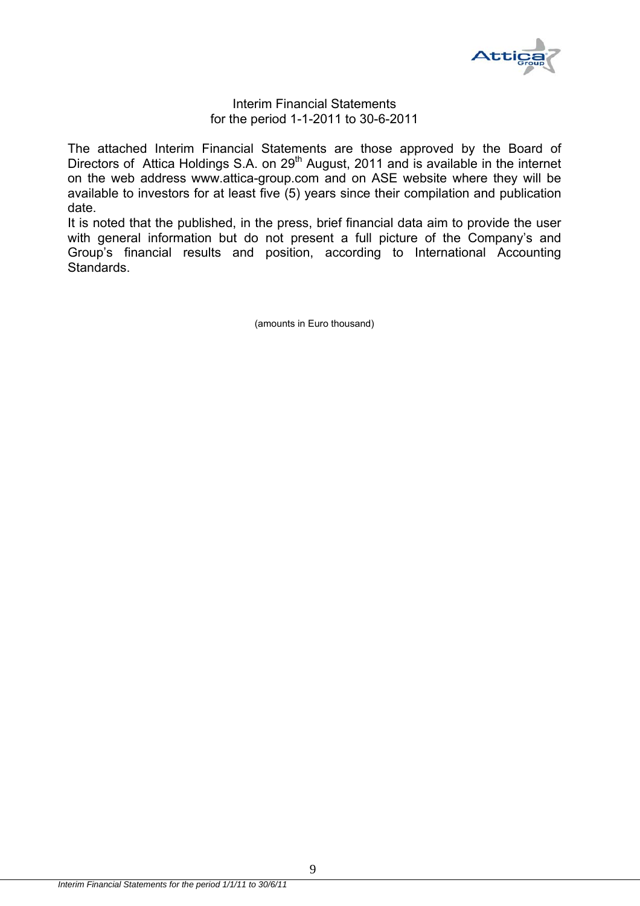

#### Interim Financial Statements for the period 1-1-2011 to 30-6-2011

The attached Interim Financial Statements are those approved by the Board of Directors of Attica Holdings S.A. on 29<sup>th</sup> August, 2011 and is available in the internet on the web address www.attica-group.com and on ASE website where they will be available to investors for at least five (5) years since their compilation and publication date.

It is noted that the published, in the press, brief financial data aim to provide the user with general information but do not present a full picture of the Company's and Group's financial results and position, according to International Accounting Standards.

(amounts in Euro thousand)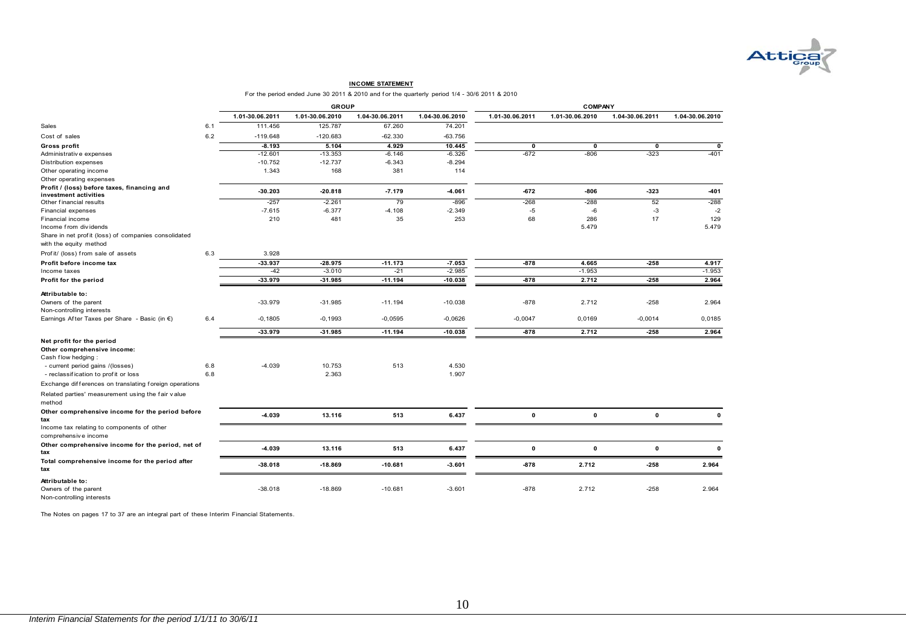

#### **INCOME STATEMENT**

For the period ended June 30 2011 & 2010 and for the quarterly period 1/4 - 30/6 2011 & 2010

|                                                                                |     |                 | <b>GROUP</b>    |                 |                 |                 | <b>COMPANY</b>  |                 |                 |
|--------------------------------------------------------------------------------|-----|-----------------|-----------------|-----------------|-----------------|-----------------|-----------------|-----------------|-----------------|
|                                                                                |     | 1.01-30.06.2011 | 1.01-30.06.2010 | 1.04-30.06.2011 | 1.04-30.06.2010 | 1.01-30.06.2011 | 1.01-30.06.2010 | 1.04-30.06.2011 | 1.04-30.06.2010 |
| Sales                                                                          | 6.1 | 111.456         | 125.787         | 67.260          | 74.201          |                 |                 |                 |                 |
| Cost of sales                                                                  | 6.2 | $-119.648$      | $-120.683$      | $-62.330$       | $-63.756$       |                 |                 |                 |                 |
| Gross profit                                                                   |     | $-8.193$        | 5.104           | 4.929           | 10.445          | $\mathbf 0$     | $\mathbf 0$     | $\mathbf 0$     | 0               |
| Administrative expenses                                                        |     | $-12.601$       | $-13.353$       | $-6.146$        | $-6.326$        | $-672$          | $-806$          | $-323$          | $-401$          |
| Distribution expenses                                                          |     | $-10.752$       | $-12.737$       | $-6.343$        | $-8.294$        |                 |                 |                 |                 |
| Other operating income                                                         |     | 1.343           | 168             | 381             | 114             |                 |                 |                 |                 |
| Other operating expenses                                                       |     |                 |                 |                 |                 |                 |                 |                 |                 |
| Profit / (loss) before taxes, financing and<br>investment activities           |     | $-30.203$       | $-20.818$       | $-7.179$        | $-4.061$        | $-672$          | $-806$          | $-323$          | $-401$          |
| Other financial results                                                        |     | $-257$          | $-2.261$        | 79              | $-896$          | $-268$          | $-288$          | 52              | $-288$          |
| Financial expenses                                                             |     | $-7.615$        | $-6.377$        | $-4.108$        | $-2.349$        | $-5$            | $-6$            | $-3$            | $-2$            |
| Financial income<br>Income from dividends                                      |     | 210             | 481             | 35              | 253             | 68              | 286<br>5.479    | 17              | 129<br>5.479    |
| Share in net profit (loss) of companies consolidated<br>with the equity method |     |                 |                 |                 |                 |                 |                 |                 |                 |
| Profit/ (loss) from sale of assets                                             | 6.3 | 3.928           |                 |                 |                 |                 |                 |                 |                 |
| Profit before income tax                                                       |     | $-33.937$       | $-28.975$       | $-11.173$       | $-7.053$        | $-878$          | 4.665           | $-258$          | 4.917           |
| Income taxes                                                                   |     | $-42$           | $-3.010$        | $-21$           | $-2.985$        |                 | $-1.953$        |                 | $-1.953$        |
| Profit for the period                                                          |     | $-33.979$       | $-31.985$       | $-11.194$       | $-10.038$       | $-878$          | 2.712           | $-258$          | 2.964           |
| Attributable to:                                                               |     |                 |                 |                 |                 |                 |                 |                 |                 |
| Owners of the parent                                                           |     | $-33.979$       | $-31.985$       | $-11.194$       | $-10.038$       | $-878$          | 2.712           | $-258$          | 2.964           |
| Non-controlling interests                                                      |     |                 |                 |                 |                 |                 |                 |                 |                 |
| Earnings After Taxes per Share - Basic (in €)                                  | 6.4 | $-0,1805$       | $-0,1993$       | $-0,0595$       | $-0,0626$       | $-0,0047$       | 0,0169          | $-0,0014$       | 0,0185          |
|                                                                                |     | $-33.979$       | $-31.985$       | $-11.194$       | $-10.038$       | $-878$          | 2.712           | $-258$          | 2.964           |
| Net profit for the period<br>Other comprehensive income:                       |     |                 |                 |                 |                 |                 |                 |                 |                 |
| Cash flow hedging:                                                             |     |                 |                 |                 |                 |                 |                 |                 |                 |
| - current period gains /(losses)                                               | 6.8 | $-4.039$        | 10.753          | 513             | 4.530           |                 |                 |                 |                 |
| - reclassification to profit or loss                                           | 6.8 |                 | 2.363           |                 | 1.907           |                 |                 |                 |                 |
| Exchange differences on translating foreign operations                         |     |                 |                 |                 |                 |                 |                 |                 |                 |
| Related parties' measurement using the fair value<br>method                    |     |                 |                 |                 |                 |                 |                 |                 |                 |
| Other comprehensive income for the period before<br>tax                        |     | -4.039          | 13.116          | 513             | 6.437           | 0               | $\pmb{0}$       | $\pmb{0}$       | $\mathbf 0$     |
| Income tax relating to components of other<br>comprehensive income             |     |                 |                 |                 |                 |                 |                 |                 |                 |
| Other comprehensive income for the period, net of<br>tax                       |     | $-4.039$        | 13.116          | 513             | 6.437           | $\pmb{0}$       | $\mathbf 0$     | $\mathbf 0$     | $\mathbf 0$     |
| Total comprehensive income for the period after<br>tax                         |     | $-38.018$       | $-18.869$       | $-10.681$       | $-3.601$        | $-878$          | 2.712           | $-258$          | 2.964           |
| Attributable to:<br>Owners of the parent<br>Non-controlling interests          |     | $-38.018$       | $-18.869$       | $-10.681$       | $-3.601$        | $-878$          | 2.712           | $-258$          | 2.964           |

The Notes on pages 17 to 37 are an integral part of these Interim Financial Statements.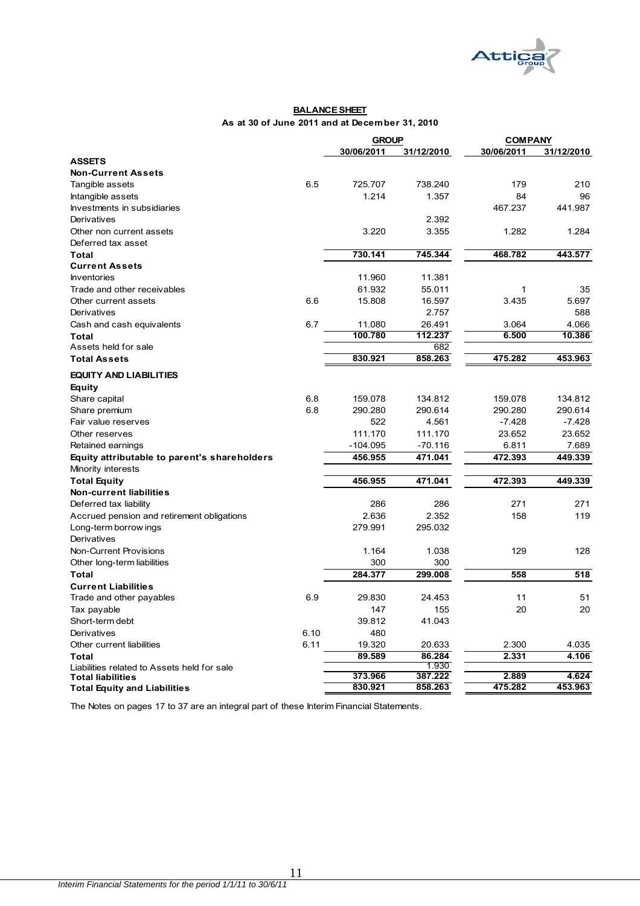

#### **BALANCE SHEET As at 30 of June 2011 and at December 31, 2010**

|                                              |      | <b>GROUP</b> |                  | <b>COMPANY</b> |            |  |
|----------------------------------------------|------|--------------|------------------|----------------|------------|--|
|                                              |      | 30/06/2011   | 31/12/2010       | 30/06/2011     | 31/12/2010 |  |
| <b>ASSETS</b>                                |      |              |                  |                |            |  |
| <b>Non-Current Assets</b>                    |      |              |                  |                |            |  |
| Tangible assets                              | 6.5  | 725.707      | 738.240          | 179            | 210        |  |
| Intangible assets                            |      | 1.214        | 1.357            | 84             | 96         |  |
| Investments in subsidiaries                  |      |              |                  | 467.237        | 441.987    |  |
| Derivatives                                  |      |              | 2.392            |                |            |  |
| Other non current assets                     |      | 3.220        | 3.355            | 1.282          | 1.284      |  |
| Deferred tax asset                           |      |              |                  |                |            |  |
| Total                                        |      | 730.141      | 745.344          | 468.782        | 443.577    |  |
| <b>Current Assets</b>                        |      |              |                  |                |            |  |
| <b>Inventories</b>                           |      | 11.960       | 11.381           |                |            |  |
| Trade and other receivables                  |      | 61.932       | 55.011           | 1              | 35         |  |
| Other current assets                         | 6.6  | 15.808       | 16.597           | 3.435          | 5.697      |  |
| Derivatives                                  |      |              | 2.757            |                | 588        |  |
| Cash and cash equivalents                    | 6.7  | 11.080       | 26.491           | 3.064          | 4.066      |  |
| <b>Total</b>                                 |      | 100.780      | 112.237          | 6.500          | 10.386     |  |
| Assets held for sale                         |      |              | 682              |                |            |  |
| <b>Total Assets</b>                          |      | 830.921      | 858.263          | 475.282        | 453.963    |  |
| <b>EQUITY AND LIABILITIES</b>                |      |              |                  |                |            |  |
| Equity                                       |      |              |                  |                |            |  |
| Share capital                                | 6.8  | 159.078      | 134.812          | 159.078        | 134.812    |  |
| Share premium                                | 6.8  | 290.280      | 290.614          | 290.280        | 290.614    |  |
| Fair value reserves                          |      | 522          | 4.561            | -7.428         | $-7.428$   |  |
| Other reserves                               |      | 111.170      | 111.170          | 23.652         | 23.652     |  |
| Retained earnings                            |      | $-104.095$   | $-70.116$        | 6.811          | 7.689      |  |
| Equity attributable to parent's shareholders |      | 456.955      | 471.041          | 472.393        | 449.339    |  |
| Minority interests                           |      |              |                  |                |            |  |
| <b>Total Equity</b>                          |      | 456.955      | 471.041          | 472.393        | 449.339    |  |
| <b>Non-current liabilities</b>               |      |              |                  |                |            |  |
|                                              |      | 286          | 286              | 271            | 271        |  |
| Deferred tax liability                       |      | 2.636        | 2.352            | 158            | 119        |  |
| Accrued pension and retirement obligations   |      | 279.991      |                  |                |            |  |
| Long-term borrow ings                        |      |              | 295.032          |                |            |  |
| Derivatives                                  |      |              |                  |                |            |  |
| Non-Current Provisions                       |      | 1.164        | 1.038            | 129            | 128        |  |
| Other long-term liabilities                  |      | 300          | 300              |                |            |  |
| <b>Total</b>                                 |      | 284.377      | 299.008          | 558            | 518        |  |
| <b>Current Liabilities</b>                   |      |              |                  |                |            |  |
| Trade and other payables                     | 6.9  | 29.830       | 24.453           | 11             | 51         |  |
| Tax payable                                  |      | 147          | 155              | 20             | 20         |  |
| Short-term debt                              |      | 39.812       | 41.043           |                |            |  |
| Derivatives                                  | 6.10 | 480          |                  |                |            |  |
| Other current liabilities                    | 6.11 | 19.320       | 20.633           | 2.300          | 4.035      |  |
| <b>Total</b>                                 |      | 89.589       | 86.284           | 2.331          | 4.106      |  |
| Liabilities related to Assets held for sale  |      | 373.966      | 1.930<br>387.222 | 2.889          | 4.624      |  |
| <b>Total liabilities</b>                     |      | 830.921      | 858.263          | 475.282        | 453.963    |  |
| <b>Total Equity and Liabilities</b>          |      |              |                  |                |            |  |

The Notes on pages 17 to 37 are an integral part of these Interim Financial Statements.

<u> 1980 - Johann Barbara, martxa a</u>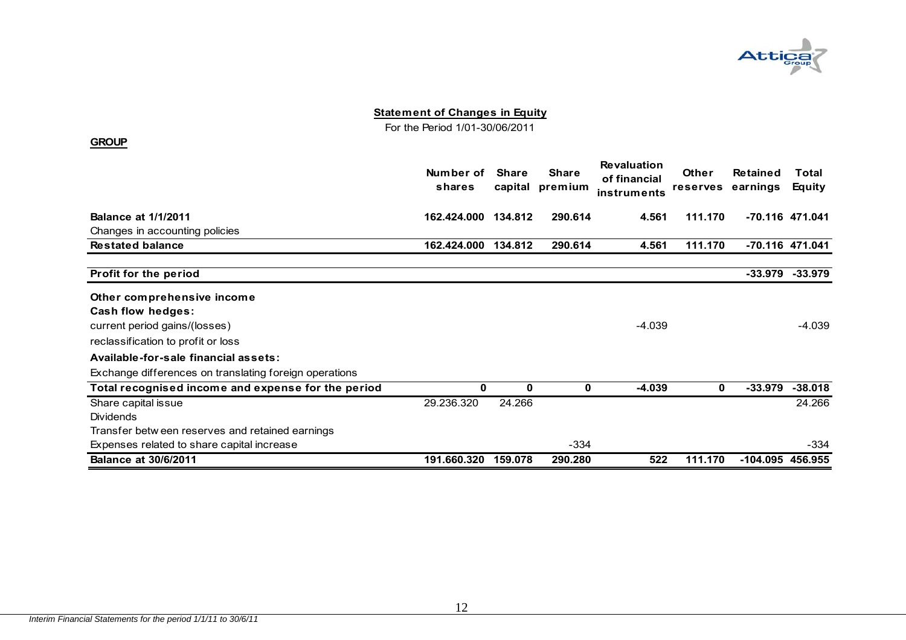

For the Period 1/01-30/06/2011

|                                                        | Number of<br>shares | <b>Share</b><br>capital | <b>Share</b><br>premium | <b>Revaluation</b><br>of financial<br>instruments | Other<br><b>reserves</b> | <b>Retained</b><br>earnings | Total<br>Equity |
|--------------------------------------------------------|---------------------|-------------------------|-------------------------|---------------------------------------------------|--------------------------|-----------------------------|-----------------|
| <b>Balance at 1/1/2011</b>                             | 162.424.000         | 134.812                 | 290.614                 | 4.561                                             | 111.170                  |                             | -70.116 471.041 |
| Changes in accounting policies                         |                     |                         |                         |                                                   |                          |                             |                 |
| <b>Restated balance</b>                                | 162.424.000         | 134.812                 | 290.614                 | 4.561                                             | 111.170                  |                             | -70.116 471.041 |
| Profit for the period                                  |                     |                         |                         |                                                   |                          | -33.979                     | $-33.979$       |
| Other comprehensive income                             |                     |                         |                         |                                                   |                          |                             |                 |
| <b>Cash flow hedges:</b>                               |                     |                         |                         |                                                   |                          |                             |                 |
| current period gains/(losses)                          |                     |                         |                         | $-4.039$                                          |                          |                             | $-4.039$        |
| reclassification to profit or loss                     |                     |                         |                         |                                                   |                          |                             |                 |
| Available-for-sale financial assets:                   |                     |                         |                         |                                                   |                          |                             |                 |
| Exchange differences on translating foreign operations |                     |                         |                         |                                                   |                          |                             |                 |
| Total recognised income and expense for the period     | 0                   | 0                       | 0                       | $-4.039$                                          | $\mathbf 0$              | $-33.979$                   | $-38.018$       |
| Share capital issue                                    | 29.236.320          | 24.266                  |                         |                                                   |                          |                             | 24.266          |
| <b>Dividends</b>                                       |                     |                         |                         |                                                   |                          |                             |                 |
| Transfer betw een reserves and retained earnings       |                     |                         |                         |                                                   |                          |                             |                 |
| Expenses related to share capital increase             |                     |                         | $-334$                  |                                                   |                          |                             | -334            |
| <b>Balance at 30/6/2011</b>                            | 191.660.320         | 159.078                 | 290.280                 | 522                                               | 111.170                  | -104.095 456.955            |                 |

**GROUP**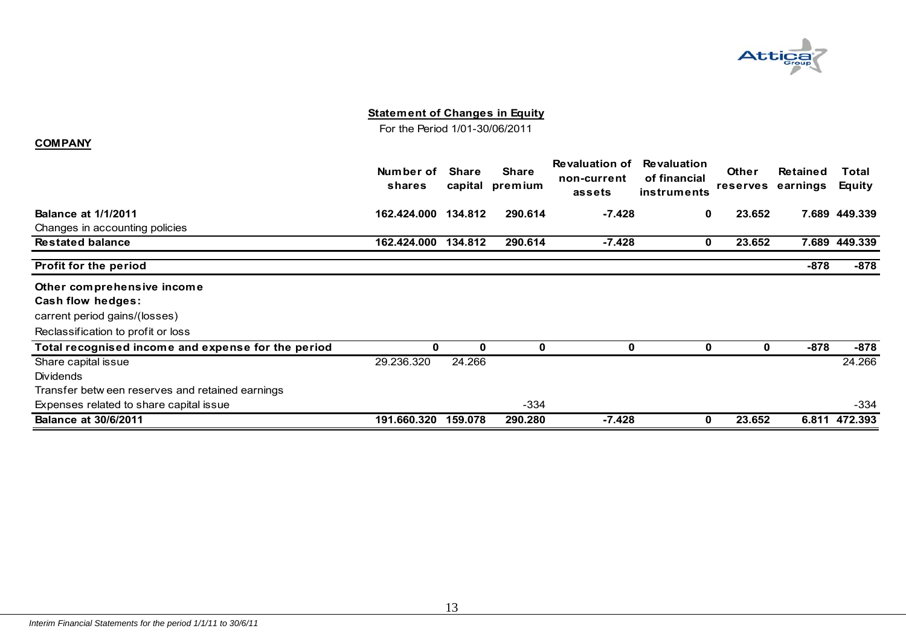

For the Period 1/01-30/06/2011

#### **COMPANY**

|                                                    | Number of<br>shares | <b>Share</b><br>capital | <b>Share</b><br>premium | <b>Revaluation of</b><br>non-current<br>assets | <b>Revaluation</b><br>of financial<br>instruments | <b>Other</b><br><b>reserves</b> | <b>Retained</b><br>earnings | Total<br>Equity |
|----------------------------------------------------|---------------------|-------------------------|-------------------------|------------------------------------------------|---------------------------------------------------|---------------------------------|-----------------------------|-----------------|
| <b>Balance at 1/1/2011</b>                         | 162.424.000         | 134.812                 | 290.614                 | $-7.428$                                       | $\mathbf{0}$                                      | 23.652                          |                             | 7.689 449.339   |
| Changes in accounting policies                     |                     |                         |                         |                                                |                                                   |                                 |                             |                 |
| <b>Restated balance</b>                            | 162.424.000         | 134.812                 | 290.614                 | $-7.428$                                       | 0                                                 | 23.652                          |                             | 7.689 449.339   |
| Profit for the period                              |                     |                         |                         |                                                |                                                   |                                 | -878                        | $-878$          |
| Other comprehensive income                         |                     |                         |                         |                                                |                                                   |                                 |                             |                 |
| Cash flow hedges:                                  |                     |                         |                         |                                                |                                                   |                                 |                             |                 |
| carrent period gains/(losses)                      |                     |                         |                         |                                                |                                                   |                                 |                             |                 |
| Reclassification to profit or loss                 |                     |                         |                         |                                                |                                                   |                                 |                             |                 |
| Total recognised income and expense for the period | 0                   | 0                       | 0                       | 0                                              | 0                                                 | 0                               | -878                        | $-878$          |
| Share capital issue                                | 29.236.320          | 24.266                  |                         |                                                |                                                   |                                 |                             | 24.266          |
| <b>Dividends</b>                                   |                     |                         |                         |                                                |                                                   |                                 |                             |                 |
| Transfer betw een reserves and retained earnings   |                     |                         |                         |                                                |                                                   |                                 |                             |                 |
| Expenses related to share capital issue            |                     |                         | $-334$                  |                                                |                                                   |                                 |                             | $-334$          |
| <b>Balance at 30/6/2011</b>                        | 191.660.320         | 159.078                 | 290.280                 | $-7.428$                                       | 0                                                 | 23.652                          | 6.811                       | 472.393         |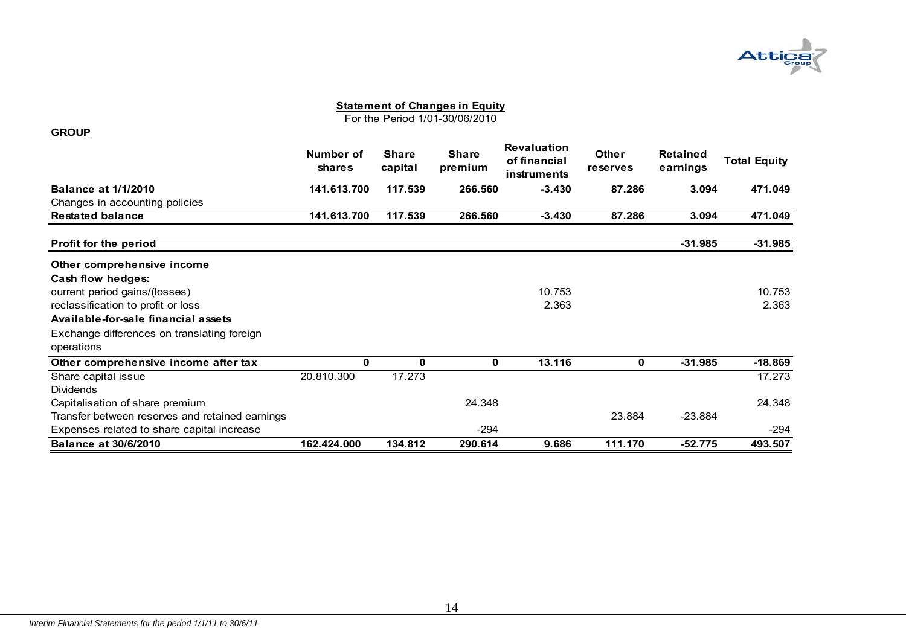

For the Period 1/01-30/06/2010

#### **GROUP**

|                                                 | Number of<br>shares | <b>Share</b><br>capital | <b>Share</b><br>premium | <b>Revaluation</b><br>of financial<br>instruments | <b>Other</b><br><b>reserves</b> | <b>Retained</b><br>earnings | <b>Total Equity</b> |
|-------------------------------------------------|---------------------|-------------------------|-------------------------|---------------------------------------------------|---------------------------------|-----------------------------|---------------------|
| <b>Balance at 1/1/2010</b>                      | 141.613.700         | 117.539                 | 266,560                 | $-3.430$                                          | 87.286                          | 3.094                       | 471.049             |
| Changes in accounting policies                  |                     |                         |                         |                                                   |                                 |                             |                     |
| <b>Restated balance</b>                         | 141.613.700         | 117.539                 | 266.560                 | $-3.430$                                          | 87.286                          | 3.094                       | 471.049             |
| Profit for the period                           |                     |                         |                         |                                                   |                                 | $-31.985$                   | $-31.985$           |
| Other comprehensive income                      |                     |                         |                         |                                                   |                                 |                             |                     |
| Cash flow hedges:                               |                     |                         |                         |                                                   |                                 |                             |                     |
| current period gains/(losses)                   |                     |                         |                         | 10.753                                            |                                 |                             | 10.753              |
| reclassification to profit or loss              |                     |                         |                         | 2.363                                             |                                 |                             | 2.363               |
| Available-for-sale financial assets             |                     |                         |                         |                                                   |                                 |                             |                     |
| Exchange differences on translating foreign     |                     |                         |                         |                                                   |                                 |                             |                     |
| operations                                      |                     |                         |                         |                                                   |                                 |                             |                     |
| Other comprehensive income after tax            | 0                   | 0                       | 0                       | 13.116                                            | 0                               | $-31.985$                   | $-18.869$           |
| Share capital issue                             | 20.810.300          | 17.273                  |                         |                                                   |                                 |                             | 17.273              |
| <b>Dividends</b>                                |                     |                         |                         |                                                   |                                 |                             |                     |
| Capitalisation of share premium                 |                     |                         | 24.348                  |                                                   |                                 |                             | 24.348              |
| Transfer between reserves and retained earnings |                     |                         |                         |                                                   | 23.884                          | $-23.884$                   |                     |
| Expenses related to share capital increase      |                     |                         | $-294$                  |                                                   |                                 |                             | $-294$              |
| <b>Balance at 30/6/2010</b>                     | 162.424.000         | 134.812                 | 290.614                 | 9.686                                             | 111.170                         | $-52.775$                   | 493.507             |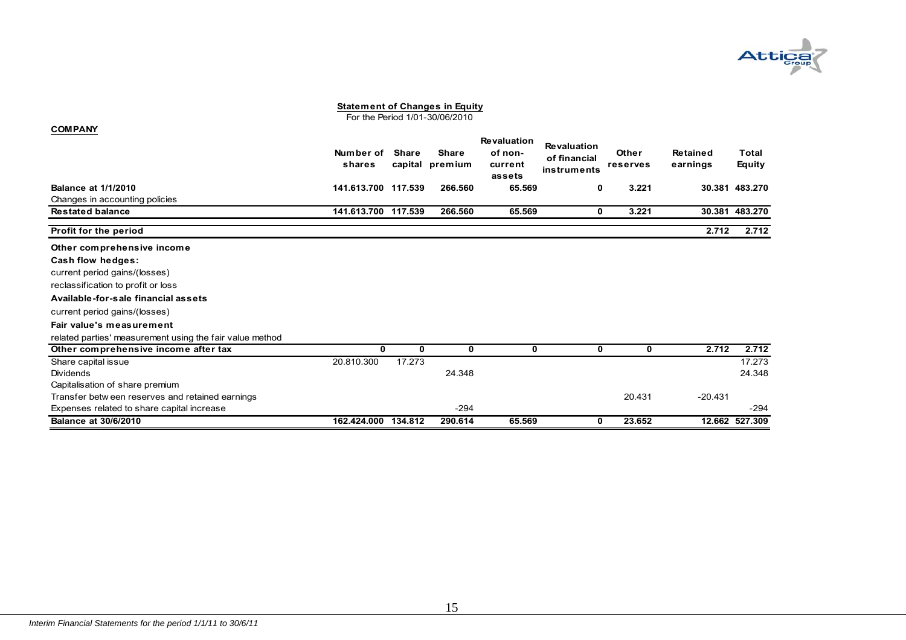

For the Period 1/01-30/06/2010

| <b>COMPANY</b>                                           |                     |                         |                         |                                                    |                                                   |                          |                             |                        |
|----------------------------------------------------------|---------------------|-------------------------|-------------------------|----------------------------------------------------|---------------------------------------------------|--------------------------|-----------------------------|------------------------|
|                                                          | Number of<br>shares | <b>Share</b><br>capital | <b>Share</b><br>premium | <b>Revaluation</b><br>of non-<br>current<br>assets | <b>Revaluation</b><br>of financial<br>instruments | <b>Other</b><br>reserves | <b>Retained</b><br>earnings | Total<br><b>Equity</b> |
| <b>Balance at 1/1/2010</b>                               | 141.613.700         | 117.539                 | 266.560                 | 65.569                                             | 0                                                 | 3.221                    |                             | 30.381 483.270         |
| Changes in accounting policies                           |                     |                         |                         |                                                    |                                                   |                          |                             |                        |
| <b>Restated balance</b>                                  | 141.613.700         | 117.539                 | 266.560                 | 65.569                                             | 0                                                 | 3.221                    |                             | 30.381 483.270         |
| Profit for the period                                    |                     |                         |                         |                                                    |                                                   |                          | 2.712                       | 2.712                  |
| Other comprehensive income                               |                     |                         |                         |                                                    |                                                   |                          |                             |                        |
| Cash flow hedges:                                        |                     |                         |                         |                                                    |                                                   |                          |                             |                        |
| current period gains/(losses)                            |                     |                         |                         |                                                    |                                                   |                          |                             |                        |
| reclassification to profit or loss                       |                     |                         |                         |                                                    |                                                   |                          |                             |                        |
| Available-for-sale financial assets                      |                     |                         |                         |                                                    |                                                   |                          |                             |                        |
| current period gains/(losses)                            |                     |                         |                         |                                                    |                                                   |                          |                             |                        |
| Fair value's measurement                                 |                     |                         |                         |                                                    |                                                   |                          |                             |                        |
| related parties' measurement using the fair value method |                     |                         |                         |                                                    |                                                   |                          |                             |                        |
| Other comprehensive income after tax                     | 0                   | 0                       | 0                       | 0                                                  | 0                                                 | 0                        | 2.712                       | 2.712                  |
| Share capital issue                                      | 20.810.300          | 17.273                  |                         |                                                    |                                                   |                          |                             | 17.273                 |
| Dividends                                                |                     |                         | 24.348                  |                                                    |                                                   |                          |                             | 24.348                 |
| Capitalisation of share premium                          |                     |                         |                         |                                                    |                                                   |                          |                             |                        |
| Transfer betw een reserves and retained earnings         |                     |                         |                         |                                                    |                                                   | 20.431                   | $-20.431$                   |                        |
| Expenses related to share capital increase               |                     |                         | $-294$                  |                                                    |                                                   |                          |                             | $-294$                 |
| <b>Balance at 30/6/2010</b>                              | 162.424.000         | 134.812                 | 290.614                 | 65.569                                             | 0                                                 | 23.652                   |                             | 12.662 527.309         |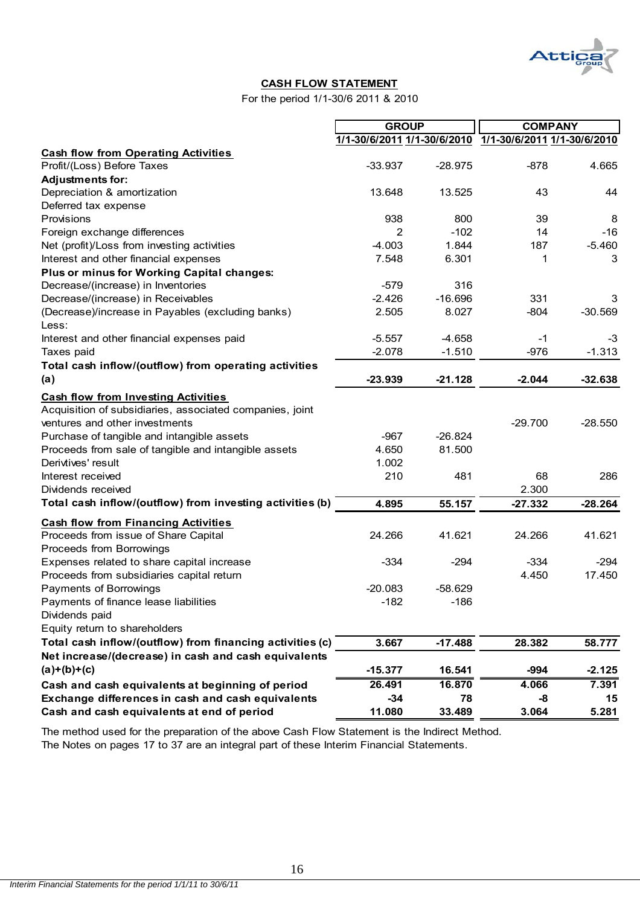

#### **CASH FLOW STATEMENT**

For the period 1/1-30/6 2011 & 2010

|                                                           | <b>GROUP</b> |           | <b>COMPANY</b>                                          |           |  |
|-----------------------------------------------------------|--------------|-----------|---------------------------------------------------------|-----------|--|
|                                                           |              |           | 1/1-30/6/2011 1/1-30/6/2010 1/1-30/6/2011 1/1-30/6/2010 |           |  |
| <b>Cash flow from Operating Activities</b>                |              |           |                                                         |           |  |
| Profit/(Loss) Before Taxes                                | $-33.937$    | $-28.975$ | $-878$                                                  | 4.665     |  |
| <b>Adjustments for:</b>                                   |              |           |                                                         |           |  |
| Depreciation & amortization                               | 13.648       | 13.525    | 43                                                      | 44        |  |
| Deferred tax expense                                      |              |           |                                                         |           |  |
| Provisions                                                | 938          | 800       | 39                                                      | 8         |  |
| Foreign exchange differences                              | 2            | $-102$    | 14                                                      | $-16$     |  |
| Net (profit)/Loss from investing activities               | $-4.003$     | 1.844     | 187                                                     | $-5.460$  |  |
| Interest and other financial expenses                     | 7.548        | 6.301     | 1                                                       | 3         |  |
| Plus or minus for Working Capital changes:                |              |           |                                                         |           |  |
| Decrease/(increase) in Inventories                        | $-579$       | 316       |                                                         |           |  |
| Decrease/(increase) in Receivables                        | $-2.426$     | $-16.696$ | 331                                                     | 3         |  |
| (Decrease)/increase in Payables (excluding banks)         | 2.505        | 8.027     | $-804$                                                  | $-30.569$ |  |
| Less:                                                     |              |           |                                                         |           |  |
| Interest and other financial expenses paid                | $-5.557$     | $-4.658$  | -1                                                      | -3        |  |
| Taxes paid                                                | $-2.078$     | $-1.510$  | $-976$                                                  | $-1.313$  |  |
| Total cash inflow/(outflow) from operating activities     |              |           |                                                         |           |  |
| (a)                                                       | $-23.939$    | $-21.128$ | $-2.044$                                                | $-32.638$ |  |
| <b>Cash flow from Investing Activities</b>                |              |           |                                                         |           |  |
| Acquisition of subsidiaries, associated companies, joint  |              |           |                                                         |           |  |
| ventures and other investments                            |              |           | $-29.700$                                               | $-28.550$ |  |
| Purchase of tangible and intangible assets                | $-967$       | $-26.824$ |                                                         |           |  |
| Proceeds from sale of tangible and intangible assets      | 4.650        | 81.500    |                                                         |           |  |
| Derivtives' result                                        | 1.002        |           |                                                         |           |  |
| Interest received                                         | 210          | 481       | 68                                                      | 286       |  |
| Dividends received                                        |              |           | 2.300                                                   |           |  |
| Total cash inflow/(outflow) from investing activities (b) | 4.895        | 55.157    | $-27.332$                                               | $-28.264$ |  |
| <b>Cash flow from Financing Activities</b>                |              |           |                                                         |           |  |
| Proceeds from issue of Share Capital                      | 24.266       | 41.621    | 24.266                                                  | 41.621    |  |
| Proceeds from Borrowings                                  |              |           |                                                         |           |  |
| Expenses related to share capital increase                | $-334$       | $-294$    | $-334$                                                  | $-294$    |  |
| Proceeds from subsidiaries capital return                 |              |           | 4.450                                                   | 17.450    |  |
| Payments of Borrowings                                    | $-20.083$    | $-58.629$ |                                                         |           |  |
| Payments of finance lease liabilities                     | $-182$       | $-186$    |                                                         |           |  |
| Dividends paid                                            |              |           |                                                         |           |  |
| Equity return to shareholders                             |              |           |                                                         |           |  |
| Total cash inflow/(outflow) from financing activities (c) | 3.667        | $-17.488$ | 28.382                                                  | 58.777    |  |
| Net increase/(decrease) in cash and cash equivalents      |              |           |                                                         |           |  |
| $(a)+(b)+(c)$                                             | $-15.377$    | 16.541    | -994                                                    | $-2.125$  |  |
| Cash and cash equivalents at beginning of period          | 26.491       | 16.870    | 4.066                                                   | 7.391     |  |
| Exchange differences in cash and cash equivalents         | $-34$        | 78        | -8                                                      | 15        |  |
| Cash and cash equivalents at end of period                | 11.080       | 33.489    | 3.064                                                   | 5.281     |  |

The method used for the preparation of the above Cash Flow Statement is the Indirect Method.

The Notes on pages 17 to 37 are an integral part of these Interim Financial Statements.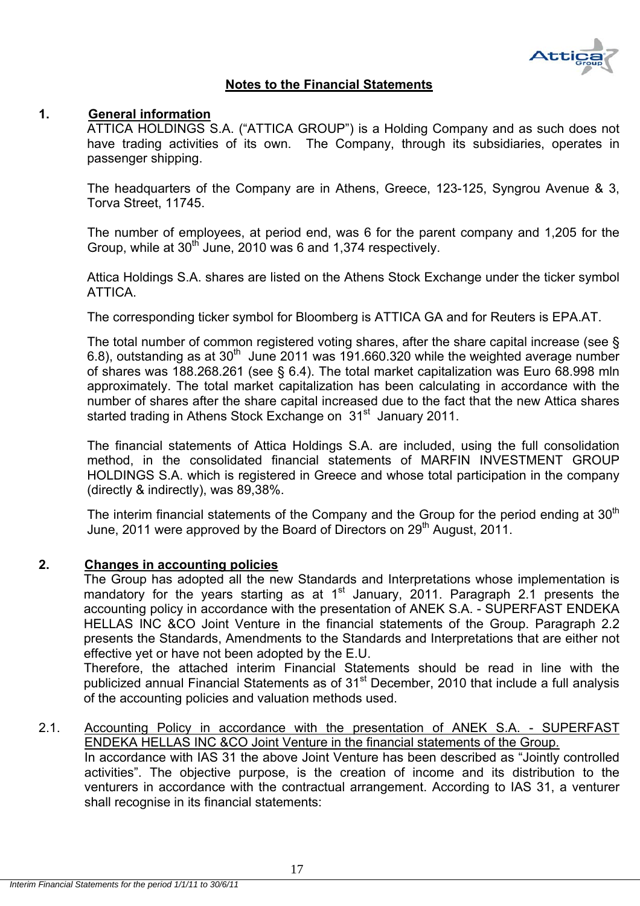

# **Notes to the Financial Statements**

#### **1. General information**

ATTICA HOLDINGS S.A. ("ATTICA GROUP") is a Holding Company and as such does not have trading activities of its own. The Company, through its subsidiaries, operates in passenger shipping.

The headquarters of the Company are in Athens, Greece, 123-125, Syngrou Avenue & 3, Torva Street, 11745.

The number of employees, at period end, was 6 for the parent company and 1,205 for the Group, while at  $30<sup>th</sup>$  June, 2010 was 6 and 1,374 respectively.

Attica Holdings S.A. shares are listed on the Athens Stock Exchange under the ticker symbol ATTICA.

The corresponding ticker symbol for Bloomberg is ATTICA GA and for Reuters is EPA.AT.

The total number of common registered voting shares, after the share capital increase (see § 6.8), outstanding as at  $30<sup>th</sup>$  June 2011 was 191.660.320 while the weighted average number of shares was 188.268.261 (see § 6.4). The total market capitalization was Euro 68.998 mln approximately. The total market capitalization has been calculating in accordance with the number of shares after the share capital increased due to the fact that the new Attica shares started trading in Athens Stock Exchange on 31<sup>st</sup> January 2011.

The financial statements of Attica Holdings S.A. are included, using the full consolidation method, in the consolidated financial statements of MARFIN INVESTMENT GROUP HOLDINGS S.A. which is registered in Greece and whose total participation in the company (directly & indirectly), was 89,38%.

The interim financial statements of the Company and the Group for the period ending at  $30<sup>th</sup>$ June, 2011 were approved by the Board of Directors on 29<sup>th</sup> August, 2011.

# **2. Changes in accounting policies**

The Group has adopted all the new Standards and Interpretations whose implementation is mandatory for the years starting as at  $1<sup>st</sup>$  January, 2011. Paragraph 2.1 presents the accounting policy in accordance with the presentation of ANEK S.A. - SUPERFAST ENDEKA HELLAS INC &CO Joint Venture in the financial statements of the Group. Paragraph 2.2 presents the Standards, Amendments to the Standards and Interpretations that are either not effective yet or have not been adopted by the E.U.

Therefore, the attached interim Financial Statements should be read in line with the publicized annual Financial Statements as of  $31<sup>st</sup>$  December, 2010 that include a full analysis of the accounting policies and valuation methods used.

# 2.1. Accounting Policy in accordance with the presentation of ANEK S.A. - SUPERFAST ENDEKA HELLAS INC &CO Joint Venture in the financial statements of the Group.

In accordance with IAS 31 the above Joint Venture has been described as "Jointly controlled activities". The objective purpose, is the creation of income and its distribution to the venturers in accordance with the contractual arrangement. According to IAS 31, a venturer shall recognise in its financial statements: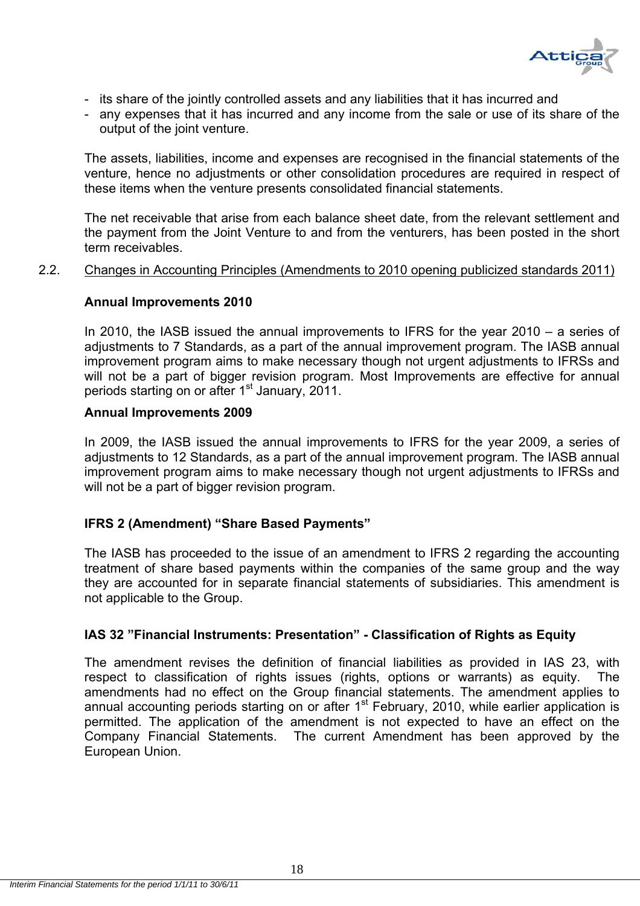

- its share of the jointly controlled assets and any liabilities that it has incurred and
- any expenses that it has incurred and any income from the sale or use of its share of the output of the joint venture.

The assets, liabilities, income and expenses are recognised in the financial statements of the venture, hence no adjustments or other consolidation procedures are required in respect of these items when the venture presents consolidated financial statements.

The net receivable that arise from each balance sheet date, from the relevant settlement and the payment from the Joint Venture to and from the venturers, has been posted in the short term receivables.

#### 2.2. Changes in Accounting Principles (Amendments to 2010 opening publicized standards 2011)

#### **Annual Improvements 2010**

In 2010, the IASB issued the annual improvements to IFRS for the year 2010 – a series of adjustments to 7 Standards, as a part of the annual improvement program. The IASB annual improvement program aims to make necessary though not urgent adjustments to IFRSs and will not be a part of bigger revision program. Most Improvements are effective for annual periods starting on or after 1<sup>st</sup> January, 2011.

#### **Annual Improvements 2009**

In 2009, the IASB issued the annual improvements to IFRS for the year 2009, a series of adjustments to 12 Standards, as a part of the annual improvement program. The IASB annual improvement program aims to make necessary though not urgent adjustments to IFRSs and will not be a part of bigger revision program.

# **IFRS 2 (Amendment) "Share Based Payments"**

The IASB has proceeded to the issue of an amendment to IFRS 2 regarding the accounting treatment of share based payments within the companies of the same group and the way they are accounted for in separate financial statements of subsidiaries. This amendment is not applicable to the Group.

# **IAS 32 "Financial Instruments: Presentation" - Classification of Rights as Equity**

The amendment revises the definition of financial liabilities as provided in IAS 23, with respect to classification of rights issues (rights, options or warrants) as equity. The amendments had no effect on the Group financial statements. The amendment applies to annual accounting periods starting on or after  $1<sup>st</sup>$  February, 2010, while earlier application is permitted. The application of the amendment is not expected to have an effect on the Company Financial Statements. The current Amendment has been approved by the European Union.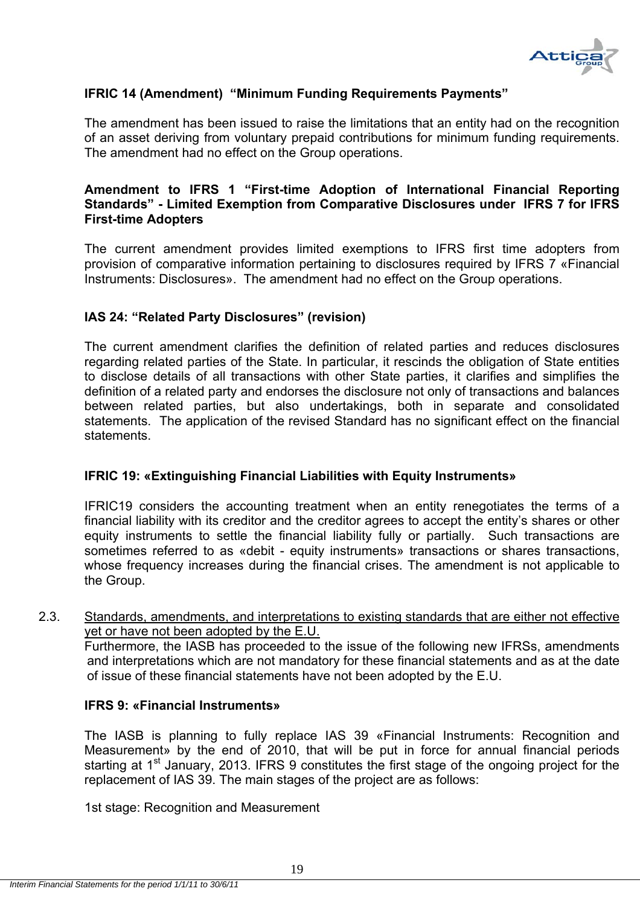

# **IFRIC 14 (Amendment) "Minimum Funding Requirements Payments"**

The amendment has been issued to raise the limitations that an entity had on the recognition of an asset deriving from voluntary prepaid contributions for minimum funding requirements. The amendment had no effect on the Group operations.

# **Amendment to IFRS 1 "First-time Adoption of International Financial Reporting Standards" - Limited Exemption from Comparative Disclosures under IFRS 7 for IFRS First-time Adopters**

The current amendment provides limited exemptions to IFRS first time adopters from provision of comparative information pertaining to disclosures required by IFRS 7 «Financial Instruments: Disclosures». The amendment had no effect on the Group operations.

# **IAS 24: "Related Party Disclosures" (revision)**

The current amendment clarifies the definition of related parties and reduces disclosures regarding related parties of the State. In particular, it rescinds the obligation of State entities to disclose details of all transactions with other State parties, it clarifies and simplifies the definition of a related party and endorses the disclosure not only of transactions and balances between related parties, but also undertakings, both in separate and consolidated statements. The application of the revised Standard has no significant effect on the financial statements.

# **IFRIC 19: «Extinguishing Financial Liabilities with Equity Instruments»**

IFRIC19 considers the accounting treatment when an entity renegotiates the terms of a financial liability with its creditor and the creditor agrees to accept the entity's shares or other equity instruments to settle the financial liability fully or partially. Such transactions are sometimes referred to as «debit - equity instruments» transactions or shares transactions, whose frequency increases during the financial crises. The amendment is not applicable to the Group.

#### 2.3. Standards, amendments, and interpretations to existing standards that are either not effective yet or have not been adopted by the E.U.

Furthermore, the IASB has proceeded to the issue of the following new IFRSs, amendments and interpretations which are not mandatory for these financial statements and as at the date of issue of these financial statements have not been adopted by the E.U.

#### **IFRS 9: «Financial Instruments»**

The IASB is planning to fully replace IAS 39 «Financial Instruments: Recognition and Measurement» by the end of 2010, that will be put in force for annual financial periods starting at 1<sup>st</sup> January, 2013. IFRS 9 constitutes the first stage of the ongoing project for the replacement of IAS 39. The main stages of the project are as follows:

1st stage: Recognition and Measurement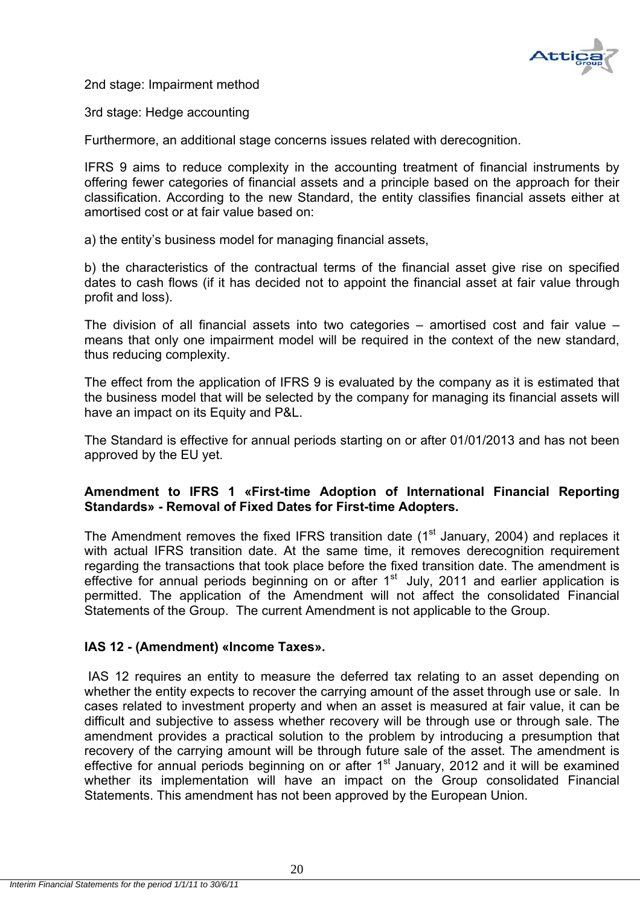

2nd stage: Impairment method

3rd stage: Hedge accounting

Furthermore, an additional stage concerns issues related with derecognition.

IFRS 9 aims to reduce complexity in the accounting treatment of financial instruments by offering fewer categories of financial assets and a principle based on the approach for their classification. According to the new Standard, the entity classifies financial assets either at amortised cost or at fair value based on:

a) the entity's business model for managing financial assets,

b) the characteristics of the contractual terms of the financial asset give rise on specified dates to cash flows (if it has decided not to appoint the financial asset at fair value through profit and loss).

The division of all financial assets into two categories – amortised cost and fair value – means that only one impairment model will be required in the context of the new standard, thus reducing complexity.

The effect from the application of IFRS 9 is evaluated by the company as it is estimated that the business model that will be selected by the company for managing its financial assets will have an impact on its Equity and P&L.

The Standard is effective for annual periods starting on or after 01/01/2013 and has not been approved by the EU yet.

# **Amendment to IFRS 1 «First-time Adoption of International Financial Reporting Standards» - Removal of Fixed Dates for First-time Adopters.**

The Amendment removes the fixed IFRS transition date (1<sup>st</sup> January, 2004) and replaces it with actual IFRS transition date. At the same time, it removes derecognition requirement regarding the transactions that took place before the fixed transition date. The amendment is effective for annual periods beginning on or after  $1<sup>st</sup>$  July, 2011 and earlier application is permitted. The application of the Amendment will not affect the consolidated Financial Statements of the Group. The current Amendment is not applicable to the Group.

# **IAS 12 - (Amendment) «Income Taxes».**

 IAS 12 requires an entity to measure the deferred tax relating to an asset depending on whether the entity expects to recover the carrying amount of the asset through use or sale. In cases related to investment property and when an asset is measured at fair value, it can be difficult and subjective to assess whether recovery will be through use or through sale. The amendment provides a practical solution to the problem by introducing a presumption that recovery of the carrying amount will be through future sale of the asset. The amendment is effective for annual periods beginning on or after 1<sup>st</sup> January, 2012 and it will be examined whether its implementation will have an impact on the Group consolidated Financial Statements. This amendment has not been approved by the European Union.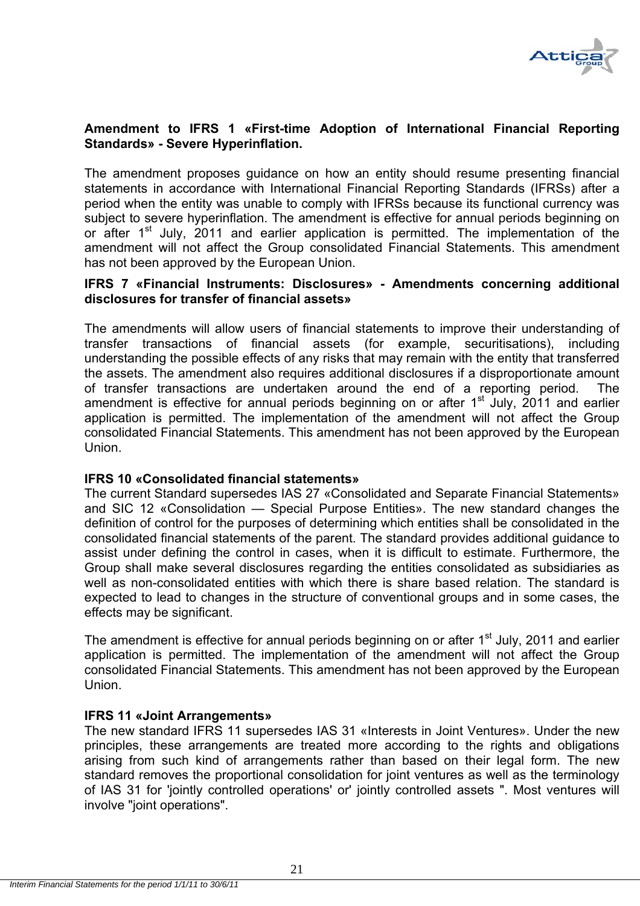

# **Amendment to IFRS 1 «First-time Adoption of International Financial Reporting Standards» - Severe Hyperinflation.**

The amendment proposes guidance on how an entity should resume presenting financial statements in accordance with International Financial Reporting Standards (IFRSs) after a period when the entity was unable to comply with IFRSs because its functional currency was subject to severe hyperinflation. The amendment is effective for annual periods beginning on or after 1<sup>st</sup> July, 2011 and earlier application is permitted. The implementation of the amendment will not affect the Group consolidated Financial Statements. This amendment has not been approved by the European Union.

#### **IFRS 7 «Financial Instruments: Disclosures» - Amendments concerning additional disclosures for transfer of financial assets»**

The amendments will allow users of financial statements to improve their understanding of transfer transactions of financial assets (for example, securitisations), including understanding the possible effects of any risks that may remain with the entity that transferred the assets. The amendment also requires additional disclosures if a disproportionate amount of transfer transactions are undertaken around the end of a reporting period. The amendment is effective for annual periods beginning on or after  $1<sup>st</sup>$  July, 2011 and earlier application is permitted. The implementation of the amendment will not affect the Group consolidated Financial Statements. This amendment has not been approved by the European Union.

# **IFRS 10 «Consolidated financial statements»**

The current Standard supersedes IAS 27 «Consolidated and Separate Financial Statements» and SIC 12 «Consolidation — Special Purpose Entities». The new standard changes the definition of control for the purposes of determining which entities shall be consolidated in the consolidated financial statements of the parent. The standard provides additional guidance to assist under defining the control in cases, when it is difficult to estimate. Furthermore, the Group shall make several disclosures regarding the entities consolidated as subsidiaries as well as non-consolidated entities with which there is share based relation. The standard is expected to lead to changes in the structure of conventional groups and in some cases, the effects may be significant.

The amendment is effective for annual periods beginning on or after 1<sup>st</sup> July, 2011 and earlier application is permitted. The implementation of the amendment will not affect the Group consolidated Financial Statements. This amendment has not been approved by the European Union.

# **IFRS 11 «Joint Arrangements»**

The new standard IFRS 11 supersedes IAS 31 «Interests in Joint Ventures». Under the new principles, these arrangements are treated more according to the rights and obligations arising from such kind of arrangements rather than based on their legal form. The new standard removes the proportional consolidation for joint ventures as well as the terminology of IAS 31 for 'jointly controlled operations' or' jointly controlled assets ". Most ventures will involve "joint operations".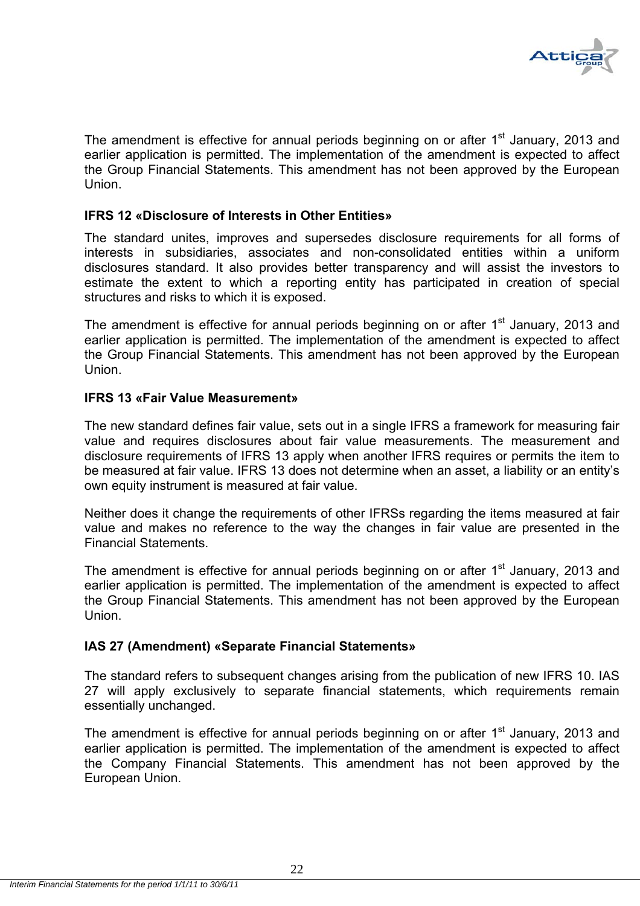

The amendment is effective for annual periods beginning on or after 1<sup>st</sup> January, 2013 and earlier application is permitted. The implementation of the amendment is expected to affect the Group Financial Statements. This amendment has not been approved by the European Union.

# **IFRS 12 «Disclosure of Interests in Other Entities»**

The standard unites, improves and supersedes disclosure requirements for all forms of interests in subsidiaries, associates and non-consolidated entities within a uniform disclosures standard. It also provides better transparency and will assist the investors to estimate the extent to which a reporting entity has participated in creation of special structures and risks to which it is exposed.

The amendment is effective for annual periods beginning on or after 1<sup>st</sup> January, 2013 and earlier application is permitted. The implementation of the amendment is expected to affect the Group Financial Statements. This amendment has not been approved by the European Union.

#### **IFRS 13 «Fair Value Measurement»**

The new standard defines fair value, sets out in a single IFRS a framework for measuring fair value and requires disclosures about fair value measurements. The measurement and disclosure requirements of IFRS 13 apply when another IFRS requires or permits the item to be measured at fair value. IFRS 13 does not determine when an asset, a liability or an entity's own equity instrument is measured at fair value.

Neither does it change the requirements of other IFRSs regarding the items measured at fair value and makes no reference to the way the changes in fair value are presented in the Financial Statements.

The amendment is effective for annual periods beginning on or after 1<sup>st</sup> January, 2013 and earlier application is permitted. The implementation of the amendment is expected to affect the Group Financial Statements. This amendment has not been approved by the European Union.

# **IAS 27 (Amendment) «Separate Financial Statements»**

The standard refers to subsequent changes arising from the publication of new IFRS 10. IAS 27 will apply exclusively to separate financial statements, which requirements remain essentially unchanged.

The amendment is effective for annual periods beginning on or after 1<sup>st</sup> January, 2013 and earlier application is permitted. The implementation of the amendment is expected to affect the Company Financial Statements. This amendment has not been approved by the European Union.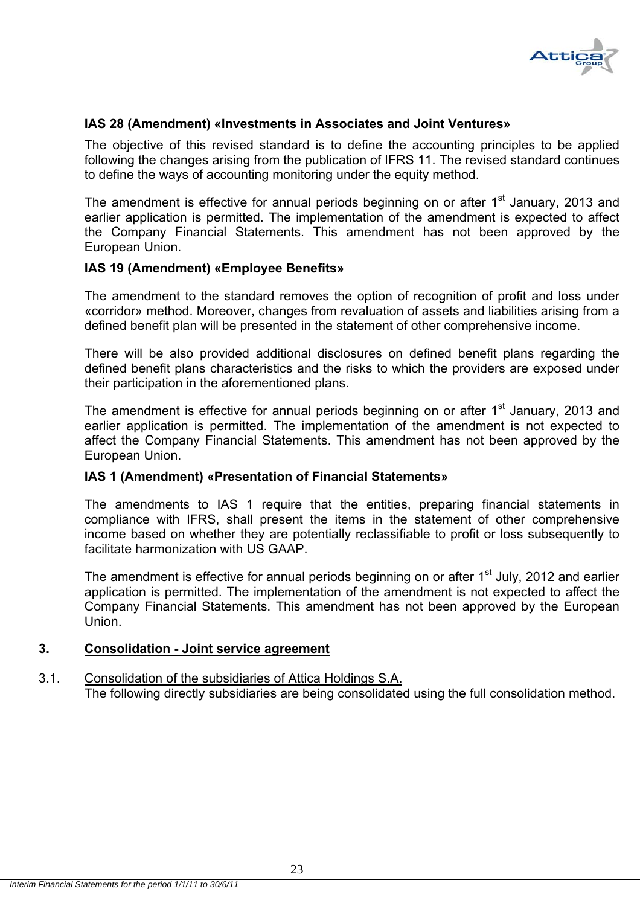

# **IAS 28 (Amendment) «Investments in Associates and Joint Ventures»**

The objective of this revised standard is to define the accounting principles to be applied following the changes arising from the publication of IFRS 11. The revised standard continues to define the ways of accounting monitoring under the equity method.

The amendment is effective for annual periods beginning on or after  $1<sup>st</sup>$  January, 2013 and earlier application is permitted. The implementation of the amendment is expected to affect the Company Financial Statements. This amendment has not been approved by the European Union.

# **IAS 19 (Amendment) «Employee Benefits»**

The amendment to the standard removes the option of recognition of profit and loss under «corridor» method. Moreover, changes from revaluation of assets and liabilities arising from a defined benefit plan will be presented in the statement of other comprehensive income.

There will be also provided additional disclosures on defined benefit plans regarding the defined benefit plans characteristics and the risks to which the providers are exposed under their participation in the aforementioned plans.

The amendment is effective for annual periods beginning on or after  $1<sup>st</sup>$  January, 2013 and earlier application is permitted. The implementation of the amendment is not expected to affect the Company Financial Statements. This amendment has not been approved by the European Union.

#### **IAS 1 (Amendment) «Presentation of Financial Statements»**

The amendments to IAS 1 require that the entities, preparing financial statements in compliance with IFRS, shall present the items in the statement of other comprehensive income based on whether they are potentially reclassifiable to profit or loss subsequently to facilitate harmonization with US GAAP

The amendment is effective for annual periods beginning on or after  $1<sup>st</sup>$  July, 2012 and earlier application is permitted. The implementation of the amendment is not expected to affect the Company Financial Statements. This amendment has not been approved by the European Union.

#### **3. Consolidation - Joint service agreement**

#### 3.1. Consolidation of the subsidiaries of Attica Holdings S.A. The following directly subsidiaries are being consolidated using the full consolidation method.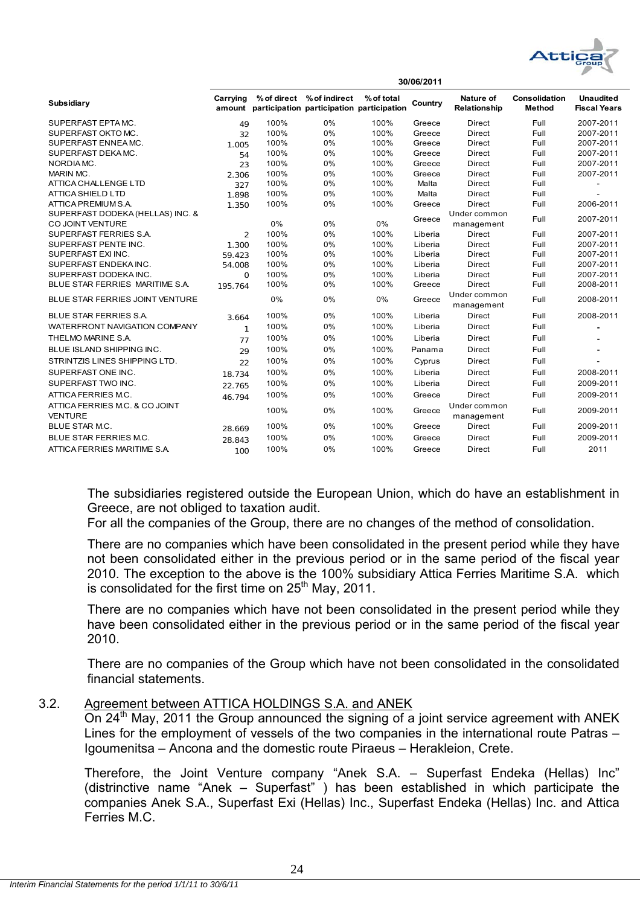

| Subsidiary                                           | Carrying       | % of direct | % of indirect<br>amount participation participation participation | % of total | Country | <b>Nature of</b><br>Relationship | Consolidation<br><b>Method</b> | <b>Unaudited</b><br><b>Fiscal Years</b> |  |  |
|------------------------------------------------------|----------------|-------------|-------------------------------------------------------------------|------------|---------|----------------------------------|--------------------------------|-----------------------------------------|--|--|
| SUPERFAST EPTA MC.                                   | 49             | 100%        | 0%                                                                | 100%       | Greece  | <b>Direct</b>                    | Full                           | 2007-2011                               |  |  |
| SUPERFAST OKTO MC.                                   | 32             | 100%        | 0%                                                                | 100%       | Greece  | <b>Direct</b>                    | Full                           | 2007-2011                               |  |  |
| SUPERFAST ENNEA MC.                                  | 1.005          | 100%        | 0%                                                                | 100%       | Greece  | Direct                           | Full                           | 2007-2011                               |  |  |
| SUPERFAST DEKAMC.                                    | 54             | 100%        | 0%                                                                | 100%       | Greece  | <b>Direct</b>                    | Full                           | 2007-2011                               |  |  |
| NORDIA MC.                                           | 23             | 100%        | 0%                                                                | 100%       | Greece  | Direct                           | Full                           | 2007-2011                               |  |  |
| MARIN MC.                                            | 2.306          | 100%        | 0%                                                                | 100%       | Greece  | <b>Direct</b>                    | Full                           | 2007-2011                               |  |  |
| ATTICA CHALLENGE LTD                                 | 327            | 100%        | 0%                                                                | 100%       | Malta   | Direct                           | Full                           |                                         |  |  |
| <b>ATTICA SHIELD LTD</b>                             | 1.898          | 100%        | 0%                                                                | 100%       | Malta   | <b>Direct</b>                    | Full                           |                                         |  |  |
| ATTICA PREMIUM S.A.                                  | 1.350          | 100%        | 0%                                                                | 100%       | Greece  | <b>Direct</b>                    | Full                           | 2006-2011                               |  |  |
| SUPERFAST DODEKA (HELLAS) INC. &<br>CO JOINT VENTURE |                | 0%          | 0%                                                                | 0%         | Greece  | Under common<br>management       | Full                           | 2007-2011                               |  |  |
| SUPERFAST FERRIES S.A.                               | $\overline{2}$ | 100%        | 0%                                                                | 100%       | Liberia | <b>Direct</b>                    | Full                           | 2007-2011                               |  |  |
| SUPERFAST PENTE INC.                                 | 1.300          | 100%        | 0%                                                                | 100%       | Liberia | <b>Direct</b>                    | Full                           | 2007-2011                               |  |  |
| SUPERFAST EXI INC.                                   | 59.423         | 100%        | 0%                                                                | 100%       | Liberia | Direct                           | Full                           | 2007-2011                               |  |  |
| SUPERFAST ENDEKAINC.                                 | 54.008         | 100%        | 0%                                                                | 100%       | Liberia | Direct                           | Full                           | 2007-2011                               |  |  |
| SUPERFAST DODEKA INC.                                | $\mathbf 0$    | 100%        | 0%                                                                | 100%       | Liberia | <b>Direct</b>                    | Full                           | 2007-2011                               |  |  |
| BLUE STAR FERRIES MARITIME S.A.                      | 195.764        | 100%        | 0%                                                                | 100%       | Greece  | Direct                           | Full                           | 2008-2011                               |  |  |
| BLUE STAR FERRIES JOINT VENTURE                      |                | 0%          | 0%                                                                | 0%         | Greece  | Under common<br>management       | Full                           | 2008-2011                               |  |  |
| <b>BLUE STAR FERRIES S.A.</b>                        | 3.664          | 100%        | 0%                                                                | 100%       | Liberia | <b>Direct</b>                    | Full                           | 2008-2011                               |  |  |
| WATERFRONT NAVIGATION COMPANY                        | $\mathbf{1}$   | 100%        | 0%                                                                | 100%       | Liberia | <b>Direct</b>                    | Full                           |                                         |  |  |
| THELMO MARINE S.A.                                   | 77             | 100%        | 0%                                                                | 100%       | Liberia | <b>Direct</b>                    | Full                           |                                         |  |  |
| BLUE ISLAND SHIPPING INC.                            | 29             | 100%        | 0%                                                                | 100%       | Panama  | <b>Direct</b>                    | Full                           |                                         |  |  |
| STRINTZIS LINES SHIPPING LTD.                        | 22             | 100%        | 0%                                                                | 100%       | Cyprus  | Direct                           | Full                           |                                         |  |  |
| SUPERFAST ONE INC.                                   | 18.734         | 100%        | 0%                                                                | 100%       | Liberia | <b>Direct</b>                    | Full                           | 2008-2011                               |  |  |
| SUPERFAST TWO INC.                                   | 22.765         | 100%        | 0%                                                                | 100%       | Liberia | <b>Direct</b>                    | Full                           | 2009-2011                               |  |  |
| ATTICA FERRIES M.C.                                  | 46.794         | 100%        | 0%                                                                | 100%       | Greece  | <b>Direct</b>                    | Full                           | 2009-2011                               |  |  |
| ATTICA FERRIES M.C. & CO JOINT<br><b>VENTURE</b>     |                | 100%        | 0%                                                                | 100%       | Greece  | Under common<br>management       | Full                           | 2009-2011                               |  |  |
| <b>BLUE STAR M.C.</b>                                | 28.669         | 100%        | 0%                                                                | 100%       | Greece  | <b>Direct</b>                    | Full                           | 2009-2011                               |  |  |
| BLUE STAR FERRIES M.C.                               | 28.843         | 100%        | 0%                                                                | 100%       | Greece  | <b>Direct</b>                    | Full                           | 2009-2011                               |  |  |
| ATTICA FERRIES MARITIME S.A.                         | 100            | 100%        | 0%                                                                | 100%       | Greece  | Direct                           | Full                           | 2011                                    |  |  |

**30/06/2011**

The subsidiaries registered outside the European Union, which do have an establishment in Greece, are not obliged to taxation audit.

For all the companies of the Group, there are no changes of the method of consolidation.

There are no companies which have been consolidated in the present period while they have not been consolidated either in the previous period or in the same period of the fiscal year 2010. The exception to the above is the 100% subsidiary Attica Ferries Maritime S.A. which is consolidated for the first time on  $25<sup>th</sup>$  May, 2011.

There are no companies which have not been consolidated in the present period while they have been consolidated either in the previous period or in the same period of the fiscal year 2010.

There are no companies of the Group which have not been consolidated in the consolidated financial statements.

# 3.2. Agreement between ATTICA HOLDINGS S.A. and ANEK

On 24<sup>th</sup> May, 2011 the Group announced the signing of a joint service agreement with ANEK Lines for the employment of vessels of the two companies in the international route Patras – Igoumenitsa – Ancona and the domestic route Piraeus – Herakleion, Crete.

Therefore, the Joint Venture company "Anek S.A. – Superfast Endeka (Hellas) Inc" (distrinctive name "Anek – Superfast" ) has been established in which participate the companies Anek S.A., Superfast Exi (Hellas) Inc., Superfast Endeka (Hellas) Inc. and Attica Ferries M.C.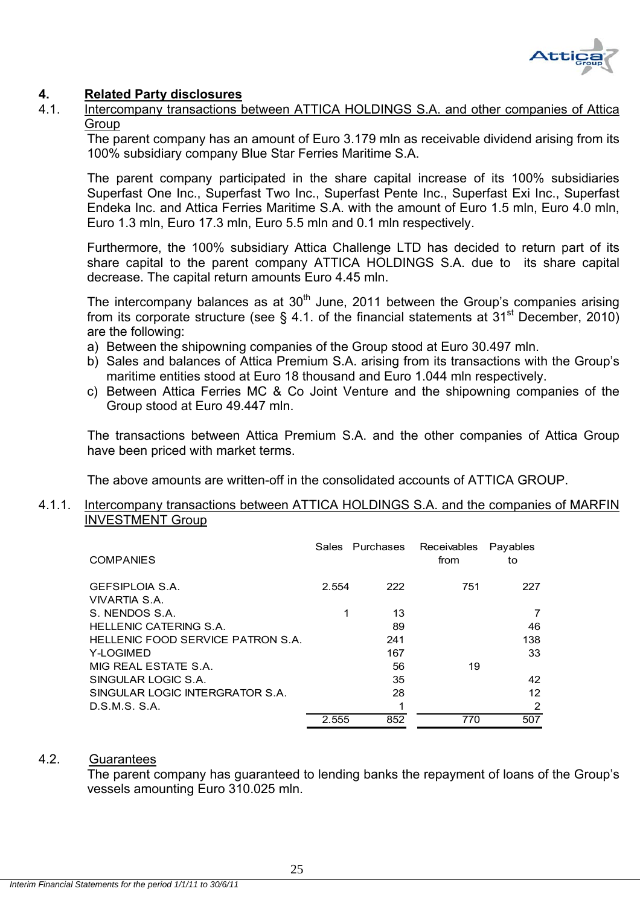

# **4. Related Party disclosures**

4.1. Intercompany transactions between ATTICA HOLDINGS S.A. and other companies of Attica **Group** 

The parent company has an amount of Euro 3.179 mln as receivable dividend arising from its 100% subsidiary company Blue Star Ferries Maritime S.A.

The parent company participated in the share capital increase of its 100% subsidiaries Superfast One Inc., Superfast Two Inc., Superfast Pente Inc., Superfast Exi Inc., Superfast Endeka Inc. and Attica Ferries Maritime S.A. with the amount of Euro 1.5 mln, Euro 4.0 mln, Euro 1.3 mln, Euro 17.3 mln, Euro 5.5 mln and 0.1 mln respectively.

Furthermore, the 100% subsidiary Attica Challenge LTD has decided to return part of its share capital to the parent company ATTICA HOLDINGS S.A. due to its share capital decrease. The capital return amounts Euro 4.45 mln.

The intercompany balances as at  $30<sup>th</sup>$  June, 2011 between the Group's companies arising from its corporate structure (see  $\frac{1}{2}$  4.1. of the financial statements at 31<sup>st</sup> December, 2010) are the following:

- a) Between the shipowning companies of the Group stood at Euro 30.497 mln.
- b) Sales and balances of Attica Premium S.A. arising from its transactions with the Group's maritime entities stood at Euro 18 thousand and Euro 1.044 mln respectively.
- c) Between Attica Ferries MC & Co Joint Venture and the shipowning companies of the Group stood at Euro 49.447 mln.

The transactions between Attica Premium S.A. and the other companies of Attica Group have been priced with market terms.

The above amounts are written-off in the consolidated accounts of ATTICA GROUP.

#### 4.1.1. Intercompany transactions between ATTICA HOLDINGS S.A. and the companies of MARFIN INVESTMENT Group

| <b>COMPANIES</b>                  |       | Sales Purchases | Receivables<br>from | Payables<br>to |
|-----------------------------------|-------|-----------------|---------------------|----------------|
| <b>GEFSIPLOIA S.A.</b>            | 2.554 | 222             | 751                 | 227            |
| VIVARTIA S.A.                     |       |                 |                     |                |
| S. NENDOS S.A.                    | 1     | 13              |                     | 7              |
| HELLENIC CATERING S.A.            |       | 89              |                     | 46             |
| HELLENIC FOOD SERVICE PATRON S.A. |       | 241             |                     | 138.           |
| Y-LOGIMED                         |       | 167             |                     | 33             |
| MIG REAL ESTATE S.A.              |       | 56              | 19                  |                |
| SINGULAR LOGIC S.A.               |       | 35              |                     | 42             |
| SINGULAR LOGIC INTERGRATOR S.A.   |       | 28              |                     | 12             |
| D.S.M.S. S.A.                     |       |                 |                     | 2              |
|                                   | 2.555 | 852             | 770                 | 507            |

#### 4.2. Guarantees

 The parent company has guaranteed to lending banks the repayment of loans of the Group's vessels amounting Euro 310.025 mln.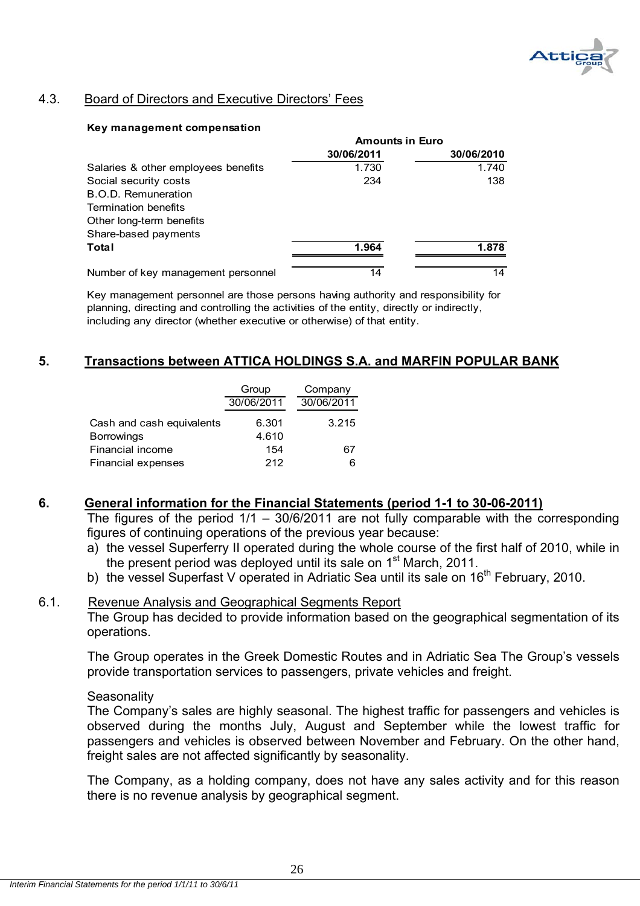

# 4.3. Board of Directors and Executive Directors' Fees

#### **Key management compensation**

|                                     | <b>Amounts in Euro</b> |            |
|-------------------------------------|------------------------|------------|
|                                     | 30/06/2011             | 30/06/2010 |
| Salaries & other employees benefits | 1.730                  | 1.740      |
| Social security costs               | 234                    | 138        |
| B.O.D. Remuneration                 |                        |            |
| <b>Termination benefits</b>         |                        |            |
| Other long-term benefits            |                        |            |
| Share-based payments                |                        |            |
| Total                               | 1.964                  | 1.878      |
| Number of key management personnel  | 14                     | 14         |

Key management personnel are those persons having authority and responsibility for planning, directing and controlling the activities of the entity, directly or indirectly, including any director (whether executive or otherwise) of that entity.

# **5. Transactions between ATTICA HOLDINGS S.A. and MARFIN POPULAR BANK**

|                           | Group      | Company    |
|---------------------------|------------|------------|
|                           | 30/06/2011 | 30/06/2011 |
| Cash and cash equivalents | 6.301      | 3.215      |
| <b>Borrowings</b>         | 4.610      |            |
| Financial income          | 154        | 67         |
| Financial expenses        | 212        | 6          |

# **6. General information for the Financial Statements (period 1-1 to 30-06-2011)**

The figures of the period  $1/1 - 30/6/2011$  are not fully comparable with the corresponding figures of continuing operations of the previous year because:

- a) the vessel Superferry II operated during the whole course of the first half of 2010, while in the present period was deployed until its sale on 1<sup>st</sup> March, 2011.
- b) the vessel Superfast V operated in Adriatic Sea until its sale on 16<sup>th</sup> February, 2010.

# 6.1. Revenue Analysis and Geographical Segments Report

The Group has decided to provide information based on the geographical segmentation of its operations.

The Group operates in the Greek Domestic Routes and in Adriatic Sea The Group's vessels provide transportation services to passengers, private vehicles and freight.

#### **Seasonality**

The Company's sales are highly seasonal. The highest traffic for passengers and vehicles is observed during the months July, August and September while the lowest traffic for passengers and vehicles is observed between November and February. On the other hand, freight sales are not affected significantly by seasonality.

The Company, as a holding company, does not have any sales activity and for this reason there is no revenue analysis by geographical segment.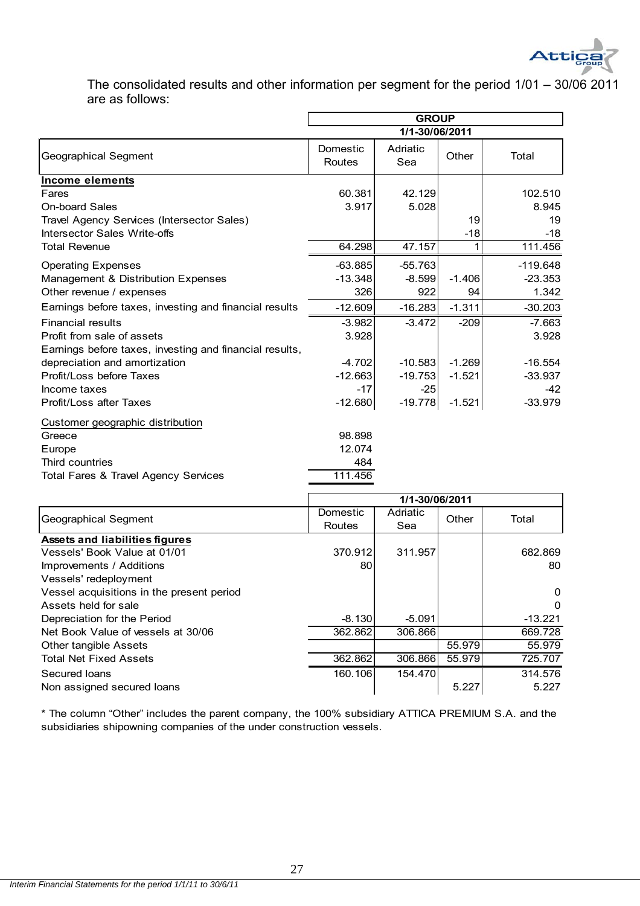

The consolidated results and other information per segment for the period 1/01 – 30/06 2011 are as follows:

|                                                         | <b>GROUP</b>              |                 |          |            |
|---------------------------------------------------------|---------------------------|-----------------|----------|------------|
|                                                         |                           | 1/1-30/06/2011  |          |            |
| Geographical Segment                                    | Domestic<br><b>Routes</b> | Adriatic<br>Sea | Other    | Total      |
| <b>Income elements</b>                                  |                           |                 |          |            |
| Fares                                                   | 60.381                    | 42.129          |          | 102.510    |
| <b>On-board Sales</b>                                   | 3.917                     | 5.028           |          | 8.945      |
| Travel Agency Services (Intersector Sales)              |                           |                 | 19       | 19         |
| Intersector Sales Write-offs                            |                           |                 | $-18$    | $-18$      |
| <b>Total Revenue</b>                                    | 64.298                    | 47.157          | 1        | 111.456    |
| <b>Operating Expenses</b>                               | $-63.885$                 | $-55.763$       |          | $-119.648$ |
| Management & Distribution Expenses                      | $-13.348$                 | $-8.599$        | $-1.406$ | $-23.353$  |
| Other revenue / expenses                                | 326                       | 922             | 94       | 1.342      |
| Earnings before taxes, investing and financial results  | $-12.609$                 | $-16.283$       | $-1.311$ | $-30.203$  |
| <b>Financial results</b>                                | $-3.982$                  | $-3.472$        | $-209$   | $-7.663$   |
| Profit from sale of assets                              | 3.928                     |                 |          | 3.928      |
| Earnings before taxes, investing and financial results, |                           |                 |          |            |
| depreciation and amortization                           | $-4.702$                  | $-10.583$       | $-1.269$ | $-16.554$  |
| Profit/Loss before Taxes                                | $-12.663$                 | $-19.753$       | $-1.521$ | $-33.937$  |
| Income taxes                                            | $-17$                     | $-25$           |          | $-42$      |
| Profit/Loss after Taxes                                 | $-12.680$                 | $-19.778$       | $-1.521$ | $-33.979$  |
| Customer geographic distribution                        |                           |                 |          |            |
| Greece                                                  | 98.898                    |                 |          |            |
| Europe                                                  | 12.074                    |                 |          |            |
| Third countries                                         | 484                       |                 |          |            |
| Total Fares & Travel Agency Services                    | 111.456                   |                 |          |            |
|                                                         |                           | 1/1-30/06/2011  |          |            |
|                                                         | Domestic                  | Adriatic        |          |            |

| Geographical Segment                      | Domestic | Adriatic | Other  | Total     |
|-------------------------------------------|----------|----------|--------|-----------|
|                                           | Routes   | Sea      |        |           |
| <b>Assets and liabilities figures</b>     |          |          |        |           |
| Vessels' Book Value at 01/01              | 370.912  | 311.957  |        | 682.869   |
| Improvements / Additions                  | 80       |          |        | 80        |
| Vessels' redeployment                     |          |          |        |           |
| Vessel acquisitions in the present period |          |          |        | $\Omega$  |
| Assets held for sale                      |          |          |        | $\Omega$  |
| Depreciation for the Period               | $-8.130$ | $-5.091$ |        | $-13.221$ |
| Net Book Value of vessels at 30/06        | 362.862  | 306.866  |        | 669.728   |
| <b>Other tangible Assets</b>              |          |          | 55.979 | 55.979    |
| <b>Total Net Fixed Assets</b>             | 362.862  | 306.866  | 55.979 | 725.707   |
| Secured Ioans                             | 160.106  | 154,470  |        | 314.576   |
| Non assigned secured loans                |          |          | 5.227  | 5.227     |

\* The column "Other" includes the parent company, the 100% subsidiary ATTICA PREMIUM S.A. and the subsidiaries shipowning companies of the under construction vessels.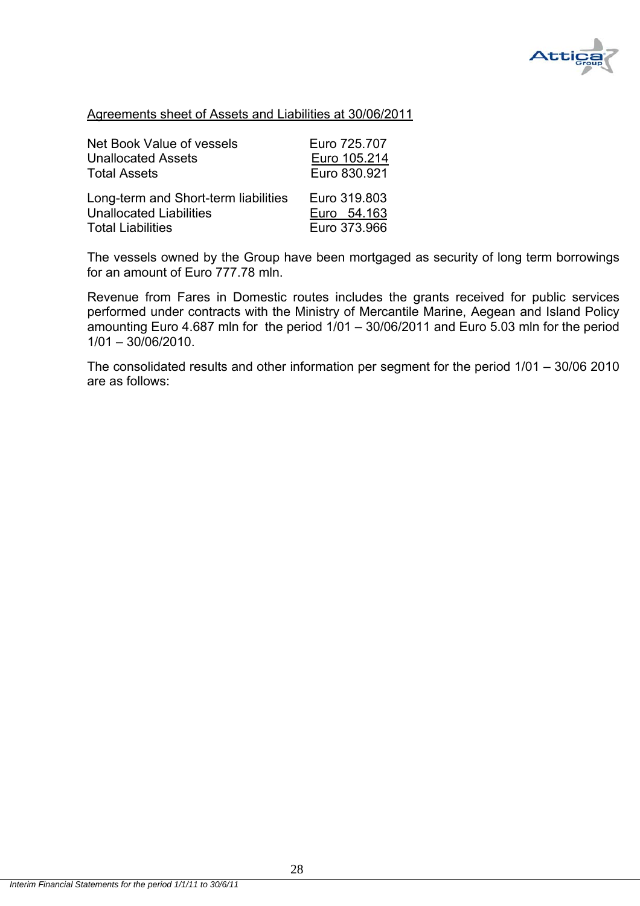

#### Agreements sheet of Assets and Liabilities at 30/06/2011

| Net Book Value of vessels            | Euro 725.707 |
|--------------------------------------|--------------|
| <b>Unallocated Assets</b>            | Euro 105.214 |
| <b>Total Assets</b>                  | Euro 830.921 |
| Long-term and Short-term liabilities | Euro 319,803 |
| <b>Unallocated Liabilities</b>       | Euro 54.163  |
| <b>Total Liabilities</b>             | Euro 373.966 |

The vessels owned by the Group have been mortgaged as security of long term borrowings for an amount of Euro 777.78 mln.

Revenue from Fares in Domestic routes includes the grants received for public services performed under contracts with the Ministry of Mercantile Marine, Aegean and Island Policy amounting Euro 4.687 mln for the period 1/01 – 30/06/2011 and Euro 5.03 mln for the period 1/01 – 30/06/2010.

The consolidated results and other information per segment for the period 1/01 – 30/06 2010 are as follows: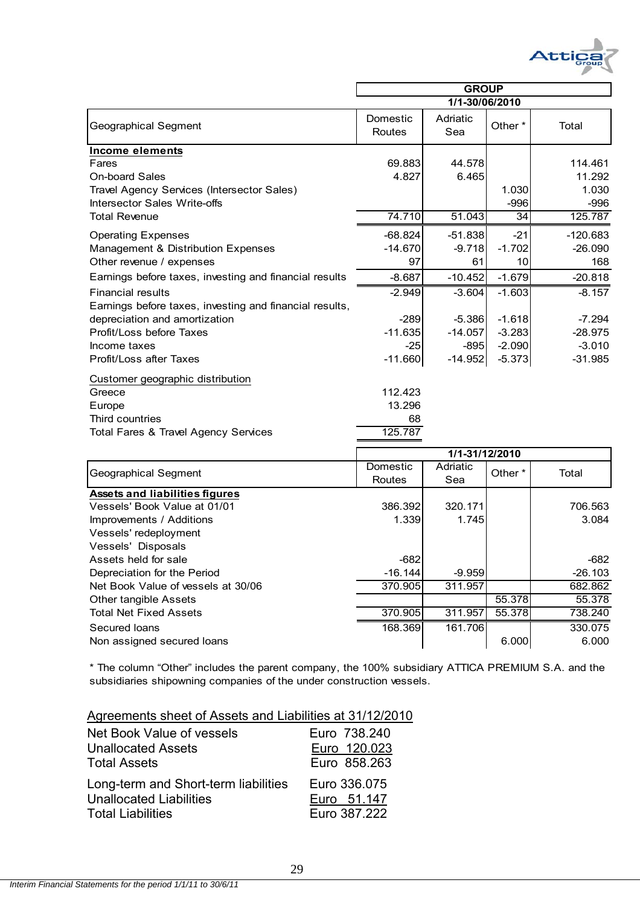

|                                                         | <b>GROUP</b>              |                 |                    |            |
|---------------------------------------------------------|---------------------------|-----------------|--------------------|------------|
|                                                         |                           | 1/1-30/06/2010  |                    |            |
| Geographical Segment                                    | Domestic<br><b>Routes</b> | Adriatic<br>Sea | Other <sup>*</sup> | Total      |
| Income elements                                         |                           |                 |                    |            |
| Fares                                                   | 69.883                    | 44.578          |                    | 114.461    |
| <b>On-board Sales</b>                                   | 4.827                     | 6.465           |                    | 11.292     |
| Travel Agency Services (Intersector Sales)              |                           |                 | 1.030              | 1.030      |
| Intersector Sales Write-offs                            |                           |                 | $-996$             | $-996$     |
| <b>Total Revenue</b>                                    | 74.710                    | 51.043          | 34                 | 125.787    |
| <b>Operating Expenses</b>                               | $-68.824$                 | $-51.838$       | $-21$              | $-120.683$ |
| Management & Distribution Expenses                      | $-14.670$                 | $-9.718$        | $-1.702$           | $-26.090$  |
| Other revenue / expenses                                | 97                        | 61              | 10                 | 168        |
| Earnings before taxes, investing and financial results  | $-8.687$                  | $-10.452$       | $-1.679$           | $-20.818$  |
| <b>Financial results</b>                                | $-2.949$                  | $-3.604$        | $-1.603$           | $-8.157$   |
| Earnings before taxes, investing and financial results, |                           |                 |                    |            |
| depreciation and amortization                           | $-289$                    | $-5.386$        | $-1.618$           | $-7.294$   |
| Profit/Loss before Taxes                                | $-11.635$                 | $-14.057$       | $-3.283$           | $-28.975$  |
| Income taxes                                            | $-25$                     | -8951           | $-2.090$           | $-3.010$   |
| Profit/Loss after Taxes                                 | $-11.660$                 | $-14.952$       | $-5.373$           | $-31.985$  |
| Customer geographic distribution                        |                           |                 |                    |            |
| Greece                                                  | 112.423                   |                 |                    |            |
| Europe                                                  | 13.296                    |                 |                    |            |
| Third countries                                         | 68                        |                 |                    |            |
| Total Fares & Travel Agency Services                    | 125.787                   |                 |                    |            |
|                                                         |                           | 1/1-31/12/2010  |                    |            |
|                                                         | Domestic                  | Adriatic        |                    |            |

| Geographical Segment                  | Domestic<br>Routes | Adriatic<br>Sea | Other * | Total     |
|---------------------------------------|--------------------|-----------------|---------|-----------|
| <b>Assets and liabilities figures</b> |                    |                 |         |           |
| Vessels' Book Value at 01/01          | 386.392            | 320.171         |         | 706.563   |
| Improvements / Additions              | 1.339              | 1.745           |         | 3.084     |
| Vessels' redeployment                 |                    |                 |         |           |
| Vessels' Disposals                    |                    |                 |         |           |
| Assets held for sale                  | $-682$             |                 |         | $-682$    |
| Depreciation for the Period           | $-16.144$          | $-9.959$        |         | $-26.103$ |
| Net Book Value of vessels at 30/06    | 370.905            | 311.957         |         | 682.862   |
| Other tangible Assets                 |                    |                 | 55.378  | 55.378    |
| <b>Total Net Fixed Assets</b>         | 370.905            | 311.957         | 55.378  | 738.240   |
| Secured Ioans                         | 168.369            | 161.706         |         | 330.075   |
| Non assigned secured loans            |                    |                 | 6.000   | 6.000     |

\* The column "Other" includes the parent company, the 100% subsidiary ATTICA PREMIUM S.A. and the subsidiaries shipowning companies of the under construction vessels.

| Net Book Value of vessels            | Euro 738,240 |
|--------------------------------------|--------------|
| <b>Unallocated Assets</b>            | Euro 120.023 |
| <b>Total Assets</b>                  | Euro 858.263 |
| Long-term and Short-term liabilities | Euro 336.075 |
| <b>Unallocated Liabilities</b>       | Euro 51.147  |
| <b>Total Liabilities</b>             | Euro 387.222 |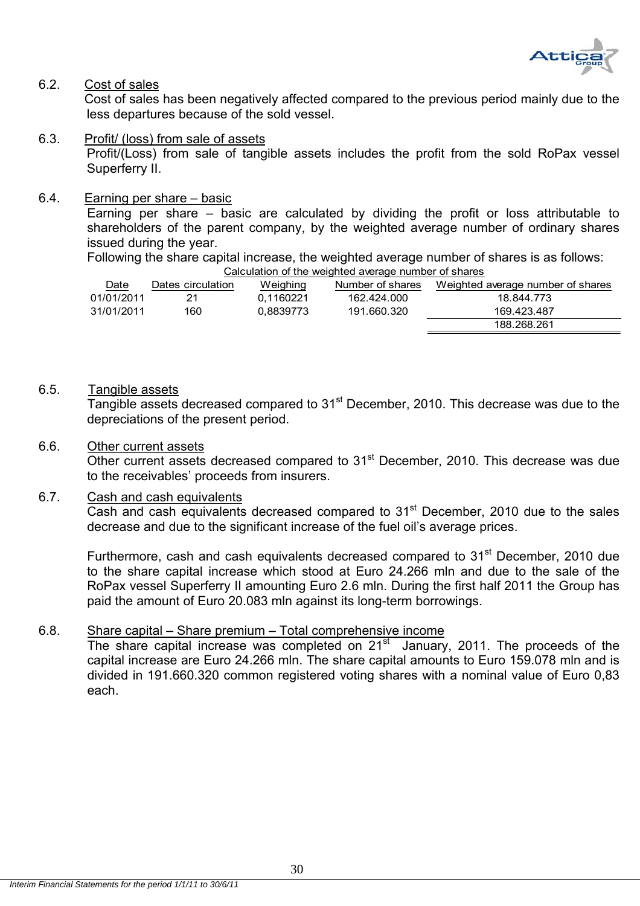

#### 6.2. Cost of sales

 Cost of sales has been negatively affected compared to the previous period mainly due to the less departures because of the sold vessel.

6.3. Profit/ (loss) from sale of assets Profit/(Loss) from sale of tangible assets includes the profit from the sold RoPax vessel Superferry II.

#### 6.4. Earning per share – basic

Earning per share – basic are calculated by dividing the profit or loss attributable to shareholders of the parent company, by the weighted average number of ordinary shares issued during the year.

Following the share capital increase, the weighted average number of shares is as follows:

| Calculation of the weighted average number of shares |                   |           |                  |                                   |
|------------------------------------------------------|-------------------|-----------|------------------|-----------------------------------|
| Date                                                 | Dates circulation | Weighing  | Number of shares | Weighted average number of shares |
| 01/01/2011                                           | 21                | 0.1160221 | 162.424.000      | 18.844.773                        |
| 31/01/2011                                           | 160               | 0.8839773 | 191.660.320      | 169.423.487                       |
|                                                      |                   |           |                  | 188.268.261                       |

#### 6.5. Tangible assets

Tangible assets decreased compared to 31<sup>st</sup> December, 2010. This decrease was due to the depreciations of the present period.

#### 6.6. Other current assets

Other current assets decreased compared to 31<sup>st</sup> December, 2010. This decrease was due to the receivables' proceeds from insurers.

#### 6.7. Cash and cash equivalents

Cash and cash equivalents decreased compared to  $31<sup>st</sup>$  December, 2010 due to the sales decrease and due to the significant increase of the fuel oil's average prices.

Furthermore, cash and cash equivalents decreased compared to 31<sup>st</sup> December, 2010 due to the share capital increase which stood at Euro 24.266 mln and due to the sale of the RoPax vessel Superferry II amounting Euro 2.6 mln. During the first half 2011 the Group has paid the amount of Euro 20.083 mln against its long-term borrowings.

# 6.8. Share capital – Share premium – Total comprehensive income

The share capital increase was completed on 21<sup>st</sup> January, 2011. The proceeds of the capital increase are Euro 24.266 mln. The share capital amounts to Euro 159.078 mln and is divided in 191.660.320 common registered voting shares with a nominal value of Euro 0,83 each.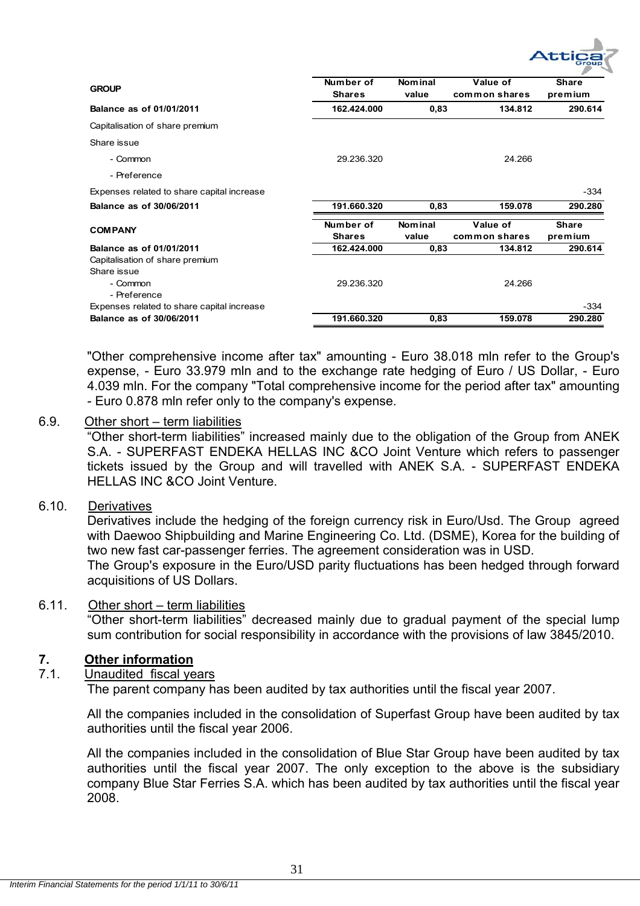

| <b>GROUP</b>                                   | Number of<br><b>Shares</b> | <b>Nominal</b><br>value | Value of<br>common shares | <b>Share</b><br>premium |
|------------------------------------------------|----------------------------|-------------------------|---------------------------|-------------------------|
| Balance as of 01/01/2011                       | 162.424.000                | 0,83                    | 134.812                   | 290.614                 |
| Capitalisation of share premium                |                            |                         |                           |                         |
| Share issue                                    |                            |                         |                           |                         |
| - Common                                       | 29.236.320                 |                         | 24.266                    |                         |
| - Preference                                   |                            |                         |                           |                         |
| Expenses related to share capital increase     |                            |                         |                           | $-334$                  |
| <b>Balance as of 30/06/2011</b>                | 191.660.320                | 0,83                    | 159.078                   | 290.280                 |
| <b>COMPANY</b>                                 | Number of<br><b>Shares</b> | Nom in al<br>value      | Value of<br>common shares | <b>Share</b><br>premium |
| Balance as of 01/01/2011                       | 162.424.000                | 0,83                    | 134.812                   | 290.614                 |
| Capitalisation of share premium<br>Share issue |                            |                         |                           |                         |
| - Common<br>- Preference                       | 29.236.320                 |                         | 24.266                    |                         |
| Expenses related to share capital increase     |                            |                         |                           | -334                    |
| Balance as of 30/06/2011                       | 191.660.320                | 0,83                    | 159.078                   | 290.280                 |

"Other comprehensive income after tax" amounting - Euro 38.018 mln refer to the Group's expense, - Euro 33.979 mln and to the exchange rate hedging of Euro / US Dollar, - Euro 4.039 mln. For the company "Total comprehensive income for the period after tax" amounting - Euro 0.878 mln refer only to the company's expense.

# 6.9. Other short – term liabilities

"Other short-term liabilities" increased mainly due to the obligation of the Group from ANEK S.A. - SUPERFAST ENDEKA HELLAS INC &CO Joint Venture which refers to passenger tickets issued by the Group and will travelled with ANEK S.A. - SUPERFAST ENDEKA HELLAS INC &CO Joint Venture.

# 6.10. Derivatives

 Derivatives include the hedging of the foreign currency risk in Euro/Usd. The Group agreed with Daewoo Shipbuilding and Marine Engineering Co. Ltd. (DSME), Korea for the building of two new fast car-passenger ferries. The agreement consideration was in USD. The Group's exposure in the Euro/USD parity fluctuations has been hedged through forward acquisitions of US Dollars.

#### 6.11. Other short – term liabilities

"Other short-term liabilities" decreased mainly due to gradual payment of the special lump sum contribution for social responsibility in accordance with the provisions of law 3845/2010.

# **7. Other information**

# 7.1. Unaudited fiscal years

The parent company has been audited by tax authorities until the fiscal year 2007.

All the companies included in the consolidation of Superfast Group have been audited by tax authorities until the fiscal year 2006.

All the companies included in the consolidation of Blue Star Group have been audited by tax authorities until the fiscal year 2007. The only exception to the above is the subsidiary company Blue Star Ferries S.A. which has been audited by tax authorities until the fiscal year 2008.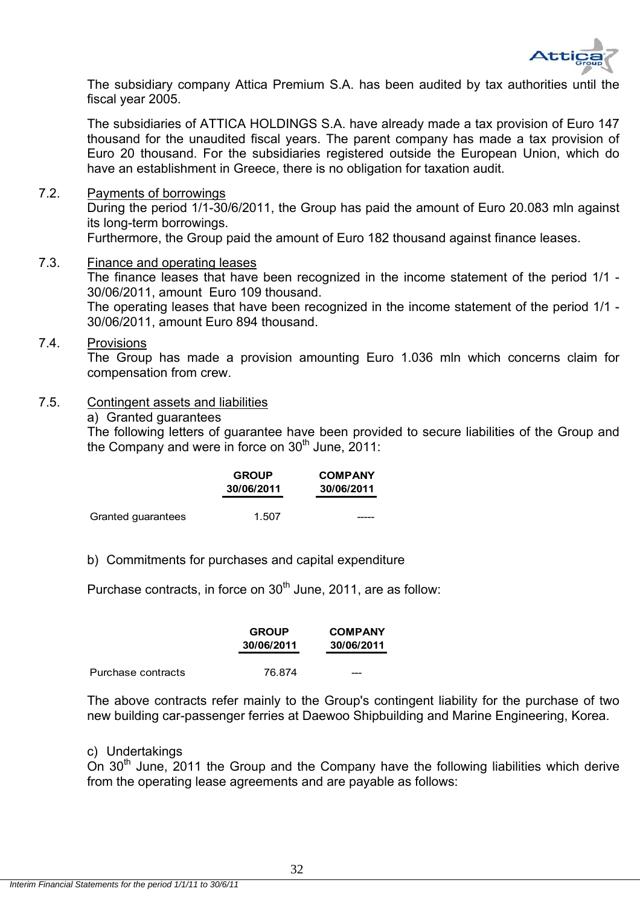

The subsidiary company Attica Premium S.A. has been audited by tax authorities until the fiscal year 2005.

The subsidiaries of ATTICA HOLDINGS S.A. have already made a tax provision of Euro 147 thousand for the unaudited fiscal years. The parent company has made a tax provision of Euro 20 thousand. For the subsidiaries registered outside the European Union, which do have an establishment in Greece, there is no obligation for taxation audit.

7.2. Payments of borrowings

During the period 1/1-30/6/2011, the Group has paid the amount of Euro 20.083 mln against its long-term borrowings.

Furthermore, the Group paid the amount of Euro 182 thousand against finance leases.

7.3. Finance and operating leases The finance leases that have been recognized in the income statement of the period 1/1 - 30/06/2011, amount Euro 109 thousand. The operating leases that have been recognized in the income statement of the period 1/1 - 30/06/2011, amount Euro 894 thousand.

#### 7.4. Provisions

The Group has made a provision amounting Euro 1.036 mln which concerns claim for compensation from crew.

#### 7.5. Contingent assets and liabilities

a) Granted guarantees

The following letters of guarantee have been provided to secure liabilities of the Group and the Company and were in force on  $30<sup>th</sup>$  June, 2011:

|                    | <b>GROUP</b><br>30/06/2011 | <b>COMPANY</b><br>30/06/2011 |
|--------------------|----------------------------|------------------------------|
| Granted guarantees | 1.507                      |                              |

b) Commitments for purchases and capital expenditure

Purchase contracts, in force on 30<sup>th</sup> June, 2011, are as follow:

|                    | <b>GROUP</b><br>30/06/2011 | <b>COMPANY</b><br>30/06/2011 |
|--------------------|----------------------------|------------------------------|
| Purchase contracts | 76.874                     | ---                          |

The above contracts refer mainly to the Group's contingent liability for the purchase of two new building car-passenger ferries at Daewoo Shipbuilding and Marine Engineering, Korea.

#### c) Undertakings

On  $30<sup>th</sup>$  June, 2011 the Group and the Company have the following liabilities which derive from the operating lease agreements and are payable as follows: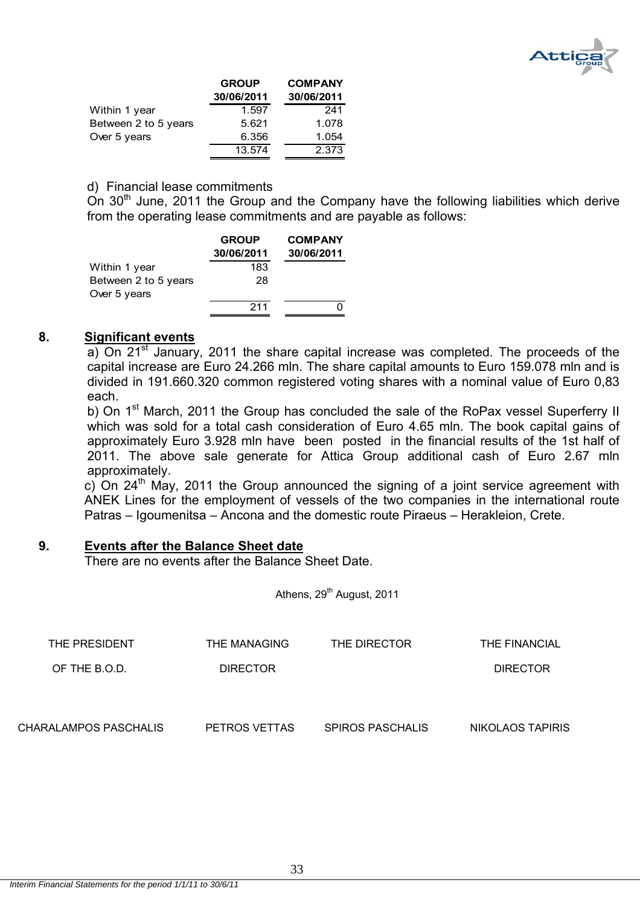

|                      | <b>GROUP</b> | <b>COMPANY</b> |
|----------------------|--------------|----------------|
|                      | 30/06/2011   | 30/06/2011     |
| Within 1 year        | 1.597        | 241            |
| Between 2 to 5 years | 5.621        | 1.078          |
| Over 5 years         | 6.356        | 1.054          |
|                      | 13.574       | 2.373          |

#### d) Financial lease commitments

 $\hat{O}$  30<sup>th</sup> June, 2011 the Group and the Company have the following liabilities which derive from the operating lease commitments and are payable as follows:

|                      | <b>GROUP</b><br>30/06/2011 | <b>COMPANY</b><br>30/06/2011 |
|----------------------|----------------------------|------------------------------|
| Within 1 year        | 183                        |                              |
| Between 2 to 5 years | 28                         |                              |
| Over 5 years         |                            |                              |
|                      | 211                        |                              |

#### **8. Significant events**

a) On 21<sup>st</sup> January, 2011 the share capital increase was completed. The proceeds of the capital increase are Euro 24.266 mln. The share capital amounts to Euro 159.078 mln and is divided in 191.660.320 common registered voting shares with a nominal value of Euro 0,83 each.

b) On 1<sup>st</sup> March, 2011 the Group has concluded the sale of the RoPax vessel Superferry II which was sold for a total cash consideration of Euro 4.65 mln. The book capital gains of approximately Euro 3.928 mln have been posted in the financial results of the 1st half of 2011. The above sale generate for Attica Group additional cash of Euro 2.67 mln approximately.

c) On  $24<sup>th</sup>$  May, 2011 the Group announced the signing of a joint service agreement with ANEK Lines for the employment of vessels of the two companies in the international route Patras – Igoumenitsa – Ancona and the domestic route Piraeus – Herakleion, Crete.

# **9. Events after the Balance Sheet date**

There are no events after the Balance Sheet Date.

Athens, 29<sup>th</sup> August, 2011

| THE PRESIDENT         | THE MANAGING    | THE DIRECTOR            | THE FINANCIAL    |
|-----------------------|-----------------|-------------------------|------------------|
| OF THE B.O.D.         | <b>DIRECTOR</b> |                         | <b>DIRECTOR</b>  |
|                       |                 |                         |                  |
|                       |                 |                         |                  |
| CHARALAMPOS PASCHALIS | PETROS VETTAS   | <b>SPIROS PASCHALIS</b> | NIKOLAOS TAPIRIS |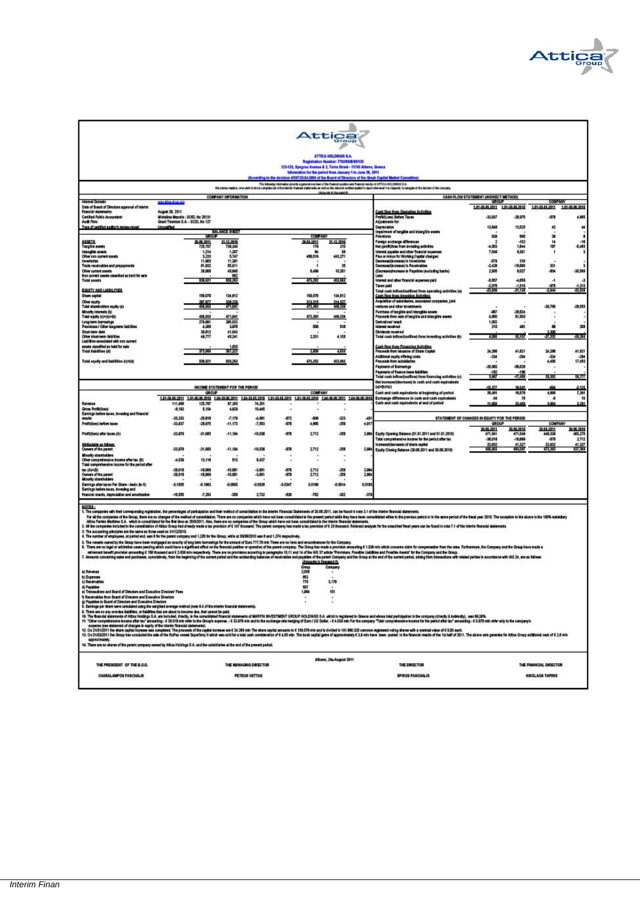

|                                                                                                                                                                                                                                                                                                                                       |                                                      |                        |                                 |                                               |                  |                                                                  | Attica                                |               |                                                                                                                                                                                                                                                                                                                                                                                                                                                                 |                                                                 |                          |                                                                 |                       |
|---------------------------------------------------------------------------------------------------------------------------------------------------------------------------------------------------------------------------------------------------------------------------------------------------------------------------------------|------------------------------------------------------|------------------------|---------------------------------|-----------------------------------------------|------------------|------------------------------------------------------------------|---------------------------------------|---------------|-----------------------------------------------------------------------------------------------------------------------------------------------------------------------------------------------------------------------------------------------------------------------------------------------------------------------------------------------------------------------------------------------------------------------------------------------------------------|-----------------------------------------------------------------|--------------------------|-----------------------------------------------------------------|-----------------------|
|                                                                                                                                                                                                                                                                                                                                       |                                                      |                        |                                 |                                               |                  |                                                                  | ATTICA HOLDINGS S.A.                  |               |                                                                                                                                                                                                                                                                                                                                                                                                                                                                 |                                                                 |                          |                                                                 |                       |
|                                                                                                                                                                                                                                                                                                                                       |                                                      |                        |                                 |                                               |                  | 123-125, Syngrow Announ & 3, Torra Street - 11745 Athene, Greece | Registration Number: 7702/06/0/08/128 |               |                                                                                                                                                                                                                                                                                                                                                                                                                                                                 |                                                                 |                          |                                                                 |                       |
|                                                                                                                                                                                                                                                                                                                                       |                                                      |                        |                                 |                                               |                  | information for the period from January 1 to June 30, 2011       |                                       |               | According to the decision 4587/29.04.2000 of the Board of Directors of the Great Capital Market Committee)                                                                                                                                                                                                                                                                                                                                                      |                                                                 |                          |                                                                 |                       |
|                                                                                                                                                                                                                                                                                                                                       |                                                      |                        |                                 |                                               |                  |                                                                  |                                       |               | .<br>The object material that is the internal operator and the internal content of the free of the internal of ATTCA HOLDROG S.A.<br>The object material that is completed of the ideas there is paid of the other contents in paid                                                                                                                                                                                                                             |                                                                 |                          |                                                                 |                       |
|                                                                                                                                                                                                                                                                                                                                       |                                                      |                        | COMPANY INFORMATION             |                                               |                  |                                                                  | <b>CAnaugh in Neusand 41</b>          |               |                                                                                                                                                                                                                                                                                                                                                                                                                                                                 | CASH FLOW STATEMENT (INDIRECT METHOD)                           |                          |                                                                 |                       |
| Internet Domain<br>Date of Board of Directors approval of Interim                                                                                                                                                                                                                                                                     | 114314-010-005                                       |                        |                                 |                                               |                  |                                                                  |                                       |               |                                                                                                                                                                                                                                                                                                                                                                                                                                                                 | <b>GROUP</b><br>1.01-39.06.2011 1.01-39.06.2010 1.01-38.04.3011 |                          | <b>COMPANY</b>                                                  | 1.01-30.06.2019       |
| firancial datements:<br><b>Cetilled Public Accountant:</b>                                                                                                                                                                                                                                                                            | August 29, 3011<br>Michailos Manolis - SOEL No 25131 |                        |                                 |                                               |                  |                                                                  |                                       |               | <b>Cash flow those Operating Activities</b><br>Profibilizes) Defare Taxes                                                                                                                                                                                                                                                                                                                                                                                       | $-33.037$                                                       | $-20.975$                | $-479$                                                          | 4,685                 |
| Audi Rm:<br>Two of cetting audier's review report                                                                                                                                                                                                                                                                                     | Grant Thombe S.A. - SCEL No 127<br>Unpaalfied        |                        |                                 |                                               |                  |                                                                  |                                       |               | Adiustments for:<br>Depmalation                                                                                                                                                                                                                                                                                                                                                                                                                                 | 13,640                                                          | 13,525                   | ۵                                                               | $\overline{1}$        |
|                                                                                                                                                                                                                                                                                                                                       |                                                      | GROUP                  | MI WYLCHOL                      |                                               |                  | <b>COMPANY</b>                                                   |                                       |               | impairment of tangible and intengible assets<br>Provisions.                                                                                                                                                                                                                                                                                                                                                                                                     | 938                                                             | 000                      | 雏                                                               |                       |
| <b>ASSETS</b><br><b>Targible assets</b>                                                                                                                                                                                                                                                                                               |                                                      | 30.06.2011<br>725,707  | 21.12.2010<br>738,240           |                                               |                  | 36.06.3311<br>179                                                | 21.12.2019<br>210                     |               | Foreign exchange differences<br>Net (profit) fors from investing activities                                                                                                                                                                                                                                                                                                                                                                                     | $-4.003$                                                        | $-102$<br>1,044          | 14<br>107                                                       | $-16$<br>$-5,400$     |
| Internation areas<br>Olber non current assets                                                                                                                                                                                                                                                                                         |                                                      | 1,254<br>3,230         | 1,387<br>5,747                  |                                               |                  | 450,519                                                          | ø<br>643,271                          |               | interest payable and other financial expenses<br>Plus or minus for Working Capital changes:                                                                                                                                                                                                                                                                                                                                                                     | 7,540                                                           | 6,301                    | 1                                                               |                       |
| Trade receivables and prepayments                                                                                                                                                                                                                                                                                                     |                                                      | 11,980<br>509.10       | 11,581<br>55,011                |                                               |                  |                                                                  | 35                                    |               | Decrease/increase) in invento<br>Decrease/increase/ in Receivables                                                                                                                                                                                                                                                                                                                                                                                              | $-570$<br>$-2,626$                                              | 315<br>$-16.666$         | 331                                                             |                       |
| Other carrent assets<br>Non current assets classified as held for sale                                                                                                                                                                                                                                                                |                                                      | 26,000                 | 45,045<br>682                   |                                               |                  | 0.496                                                            | 10,355                                |               | (Decrease) increase in Payables (excluding banks)<br>Leus:                                                                                                                                                                                                                                                                                                                                                                                                      | 2,508                                                           | 0.027                    | $-004$                                                          | $-30,589$             |
| <b>Total sassis</b>                                                                                                                                                                                                                                                                                                                   |                                                      | 106,974                | 69,357                          |                                               |                  | 475,202                                                          | 453,963                               |               | Interest and other financial expenses paid<br><b>Taxes paid</b>                                                                                                                                                                                                                                                                                                                                                                                                 | $-5.557$<br>$-2,070$                                            | $-4.058$<br>$-1,510$     | и<br>470                                                        | a<br>$-1,343$         |
| BOUITY AND LANGUITIES<br>Share capital                                                                                                                                                                                                                                                                                                |                                                      | 159,070                | 134,012                         |                                               |                  | 159,070                                                          | 154,012                               |               | Total cash infow/outflow) from operating activities (a)<br><b>Cash flow those investing Activities</b>                                                                                                                                                                                                                                                                                                                                                          | 23,036                                                          | -21,139                  | 244                                                             | -32,638               |
| Other equity<br>Total shareholders equity (a)                                                                                                                                                                                                                                                                                         |                                                      | 456,955                | 106.22<br>471,041               |                                               |                  | 343,315<br>472,393                                               | 314.527<br>449,333                    |               | Acquisition of subsidiaries, associated companies, joint<br>vertures and other investments                                                                                                                                                                                                                                                                                                                                                                      |                                                                 |                          | $-39.700$                                                       | $-28,500$             |
| Minority Internets (b)<br>Total equity (c)=(a)+0)                                                                                                                                                                                                                                                                                     |                                                      | 458.955                | 471,001                         |                                               |                  | 472,393                                                          | 469,339                               |               | Furchase of tangible and intengible assets<br>Proceeds from sale of tangible and intangible assets                                                                                                                                                                                                                                                                                                                                                              | -987<br>4,050                                                   | $-26,024$<br>01,500      |                                                                 |                       |
| Long-term borrowings<br>Provisiona / Other Iconstants Italijijas                                                                                                                                                                                                                                                                      |                                                      | 279,961<br>4,388       | 265,033<br>3,975                |                                               |                  | 550                                                              | 538                                   |               | Dedustines' result<br>izieraci racelyed                                                                                                                                                                                                                                                                                                                                                                                                                         | 1,002<br>210                                                    | 401                      | 60                                                              | 288                   |
| Short-term debt<br>Other short-term lightities                                                                                                                                                                                                                                                                                        |                                                      | 16,012<br>49.777       | 41,043<br>45,241                |                                               |                  | 2.331                                                            | 4,108                                 |               | Dividends received<br>Total cash infow/outflow) from investing activities (b)                                                                                                                                                                                                                                                                                                                                                                                   | 4.985                                                           | 85,187                   | 1,000<br>-27,332                                                | 41.XI                 |
| Liabilities sessoriated with non-current<br>ausats classified as held for sale                                                                                                                                                                                                                                                        |                                                      |                        | 1,933                           |                                               |                  |                                                                  |                                       |               | <b>Cash flow those Financing Activities</b>                                                                                                                                                                                                                                                                                                                                                                                                                     |                                                                 |                          |                                                                 |                       |
| <b>Total Exhibiton (d)</b>                                                                                                                                                                                                                                                                                                            |                                                      | 375,665                | 387,322                         |                                               |                  | 2.850                                                            | 4,634                                 |               | Froceeds from Insusance of Share Capital<br>Additional equity offering costs                                                                                                                                                                                                                                                                                                                                                                                    | 24,266<br>$-334$                                                | 41,621<br>-294           | 34.206<br>$-32$                                                 | 41,621<br>÷           |
| Total equity and liabilities (c)+(d)                                                                                                                                                                                                                                                                                                  |                                                      | 836,921                | 050,263                         |                                               |                  | 475,202                                                          | 453,963                               |               | Proceeds from subsidiaries<br><b>Payments of Borrowings</b>                                                                                                                                                                                                                                                                                                                                                                                                     | $-20,003$                                                       | -50,629                  | 4,450                                                           | 17,453                |
|                                                                                                                                                                                                                                                                                                                                       |                                                      |                        |                                 |                                               |                  |                                                                  |                                       |               | <b>Promeets of finance lease labilities</b>                                                                                                                                                                                                                                                                                                                                                                                                                     | $-102$<br>3.667                                                 | $-106$<br>-17.80         | 20, 302                                                         | 58,377                |
|                                                                                                                                                                                                                                                                                                                                       |                                                      |                        |                                 |                                               |                  |                                                                  |                                       |               | Total cash influx/(outflow) from financing activities (c)<br>Net increase(decrease) in cash and cash equivalents                                                                                                                                                                                                                                                                                                                                                |                                                                 |                          |                                                                 |                       |
|                                                                                                                                                                                                                                                                                                                                       |                                                      | GROUP                  | INCOME STATEMENT FOR THE PERIOD |                                               |                  | <b>COMPANY</b>                                                   |                                       |               | (a)+8(Hz)<br>Cash and cash equivalents at beginning of pertod                                                                                                                                                                                                                                                                                                                                                                                                   | 45,377<br>26,491                                                | 16,541<br>16,678         | 4,008                                                           | -2.125<br>7,361       |
| Revenue                                                                                                                                                                                                                                                                                                                               | 111,456                                              | 125,787                | 67,380                          | 74,201                                        |                  |                                                                  |                                       |               | Eachange differences in cash and cash equivalents<br>Cash and cash equivalents at end of period                                                                                                                                                                                                                                                                                                                                                                 | $-34$<br>11,008                                                 | T <sub>0</sub><br>33,488 | ٠                                                               | 15<br>5,281           |
| Gross Profit/loan)<br>Earnings before taxes, investing and financial                                                                                                                                                                                                                                                                  | $-0.185$                                             | 5.104                  | 4,939                           | 10,445                                        |                  |                                                                  |                                       |               |                                                                                                                                                                                                                                                                                                                                                                                                                                                                 |                                                                 |                          |                                                                 |                       |
| rrutu<br>Profitijken) before taxes                                                                                                                                                                                                                                                                                                    | $-30.303$<br>$-33.937$                               | $-20,010$<br>$-28.675$ | $-7,170$<br>$-11,173$           | $-4,001$<br>$-7,053$                          | $-572$<br>$-170$ | -806<br>4.905                                                    | $-323$<br>-200                        | $+0$<br>4.917 |                                                                                                                                                                                                                                                                                                                                                                                                                                                                 | STATEMENT OF CHANGES IN EQUITY FOR THE PERIOD<br><b>GROUP</b>   |                          | <b>COMPANY</b>                                                  |                       |
| Profit/Jore) after taxes (A)                                                                                                                                                                                                                                                                                                          | $-33.979$                                            | -31,985                | $-11,194$                       | $-10.030$                                     | $-170$           | 2,712                                                            | $-250$                                | 2,984         | Equity Opening Balance (91.01.2011 and 01.01.2010)                                                                                                                                                                                                                                                                                                                                                                                                              | 30.05.2011<br>471,041                                           | 39.95.2018<br>471,049    | 38.95.3911<br>449,336                                           | 30.06.2010<br>483,270 |
| Attribuishin as follows:                                                                                                                                                                                                                                                                                                              |                                                      |                        |                                 |                                               |                  |                                                                  |                                       |               | Total comprehensive income for the period after tax<br>horesta/(decrease) of thare capital                                                                                                                                                                                                                                                                                                                                                                      | $-30,010$<br>23, 932                                            | $-10,066$<br>41,327      | $-470$<br>23, 832                                               | 2,712<br>41,327       |
| Owners of the parent<br>Minority stranholders                                                                                                                                                                                                                                                                                         | $-33.979$                                            | -31.985                | $-11,104$                       | $-50.030$                                     | -470             | 2,712                                                            | $-258$                                | 2,984         | Equity Closing Balance (30.08.2011 and 30.08.2010)                                                                                                                                                                                                                                                                                                                                                                                                              | 456,955                                                         | 493,56                   | 472,393                                                         | 527,369               |
| Other comprehensive income after tax (0)<br>Total comprehensive income for the period after                                                                                                                                                                                                                                           | $-4.039$                                             | 13,115                 | 513                             | 6.437                                         |                  |                                                                  |                                       |               |                                                                                                                                                                                                                                                                                                                                                                                                                                                                 |                                                                 |                          |                                                                 |                       |
| <b>IEX (AD+(Ti)</b><br>Owners of the parent                                                                                                                                                                                                                                                                                           | $-38,010$<br>$-38,000$                               | $-10,000$<br>$-10,000$ | $-10,601$<br>$-10,601$          | $-3.601$<br>$-3,601$                          | $-470$<br>$-470$ | 2,712<br>2,712                                                   | $-250$<br>$-258$                      | 2,98<br>2.984 |                                                                                                                                                                                                                                                                                                                                                                                                                                                                 |                                                                 |                          |                                                                 |                       |
| Minority shamholders<br>Earnings after taxes Per Share - basic (in C)                                                                                                                                                                                                                                                                 | $-0.1805$                                            | 0.1960                 | $-0.0665$                       | $-0.0826$                                     | $-0.0367$        | 0.0169                                                           | 0.0014                                | 0.0105        |                                                                                                                                                                                                                                                                                                                                                                                                                                                                 |                                                                 |                          |                                                                 |                       |
| Earnings before taxes, investing and<br>financial mesils, depreciation and amortization                                                                                                                                                                                                                                               | $-18.995$                                            | $-7,280$               | $-300$                          | 2.732                                         | $-429$           | $-762$                                                           | $-302$                                | $-320$        |                                                                                                                                                                                                                                                                                                                                                                                                                                                                 |                                                                 |                          |                                                                 |                       |
| NOTES:                                                                                                                                                                                                                                                                                                                                |                                                      |                        |                                 |                                               |                  |                                                                  |                                       |               |                                                                                                                                                                                                                                                                                                                                                                                                                                                                 |                                                                 |                          |                                                                 |                       |
| 1. The companies with their corresponding registration, the percentages of participation and their method of consolidation in the interior Financial Statements of 30.08.2011, can be found in orde 3.1 of the interior financ                                                                                                        |                                                      |                        |                                 |                                               |                  |                                                                  |                                       |               |                                                                                                                                                                                                                                                                                                                                                                                                                                                                 |                                                                 |                          |                                                                 |                       |
|                                                                                                                                                                                                                                                                                                                                       |                                                      |                        |                                 |                                               |                  |                                                                  |                                       |               | For all the companies of the Group, then are no changes of the method of consolation. Then are no companies which have not been consolidated in the present period which they have been consoldated either in the previous per<br>Aus Ferm Deter Law Web consider the between 2007U.Au, her sea concept of the year here of the manifest things ferminate the fermination of the fermination of the concepts of the concepts of the concepts of the concepts of |                                                                 |                          |                                                                 |                       |
| 3. The accounting principles are the same as those used on 34/12/2010.                                                                                                                                                                                                                                                                |                                                      |                        |                                 |                                               |                  |                                                                  |                                       |               |                                                                                                                                                                                                                                                                                                                                                                                                                                                                 |                                                                 |                          |                                                                 |                       |
| 4. The matther of employees, at pariod end, was 6 for the parent company and 1,305 for the Group, while at 30/09/2010 was 6 and 1,374 respectively.<br>5. The vessels owned by the Group have been mortgaged as security of long term bomowings for the amount of Euro 777.78 min Them are no limis and encumbrances for the Company. |                                                      |                        |                                 |                                               |                  |                                                                  |                                       |               |                                                                                                                                                                                                                                                                                                                                                                                                                                                                 |                                                                 |                          |                                                                 |                       |
|                                                                                                                                                                                                                                                                                                                                       |                                                      |                        |                                 |                                               |                  |                                                                  |                                       |               | 6. Then am no legal or additrible cases pending which exciditions a significant effect on the distribution operation of the parent company. The Occupiton anoundside amounting 61.000 min which concerns claim for compensatio<br>minerant banefi provision amounting 6 150 thousand and 6 2.038 min respectively. There are no provisions according to pamyraphs 10,11 and 14 of the 145 37 article 'Provisions, Possible Ltabilities and Possible Ametit' for |                                                                 |                          |                                                                 |                       |
|                                                                                                                                                                                                                                                                                                                                       |                                                      |                        |                                 |                                               |                  | (Amounts in thousand 6)                                          |                                       |               | 7. Amounts concerning sales and purchases, curatatively, from the beginning of the current period and the outdanding balances of modvables and purpless of the parent Company and the Group at the execution of the street per                                                                                                                                                                                                                                  |                                                                 |                          |                                                                 |                       |
| a) Revenue                                                                                                                                                                                                                                                                                                                            |                                                      |                        |                                 |                                               |                  | Great<br>2,588                                                   | Company                               |               |                                                                                                                                                                                                                                                                                                                                                                                                                                                                 |                                                                 |                          |                                                                 |                       |
| b) Expenses<br>c) Receivables                                                                                                                                                                                                                                                                                                         |                                                      |                        |                                 |                                               |                  | M2<br>770                                                        | 3,179                                 |               |                                                                                                                                                                                                                                                                                                                                                                                                                                                                 |                                                                 |                          |                                                                 |                       |
| d) Payables<br>e) Transactions and Board of Directors and Executive Directors' Fees                                                                                                                                                                                                                                                   |                                                      |                        |                                 |                                               |                  | 507<br>1,964                                                     | 151                                   |               |                                                                                                                                                                                                                                                                                                                                                                                                                                                                 |                                                                 |                          |                                                                 |                       |
| f) Receivables from Board of Directors and Executive Directors<br>g) Payables to Board of Directors and Executive Directors                                                                                                                                                                                                           |                                                      |                        |                                 |                                               |                  | 2012                                                             |                                       |               |                                                                                                                                                                                                                                                                                                                                                                                                                                                                 |                                                                 |                          |                                                                 |                       |
| 8. Earnings per share were calculated using the weighted average method (note 6.4 of the interim thancial statements).<br>9. There are no any overdue Eabilities, or liabilities that are about to become due, that cannot be paid.                                                                                                   |                                                      |                        |                                 |                                               |                  |                                                                  |                                       |               |                                                                                                                                                                                                                                                                                                                                                                                                                                                                 |                                                                 |                          |                                                                 |                       |
|                                                                                                                                                                                                                                                                                                                                       |                                                      |                        |                                 |                                               |                  |                                                                  |                                       |               | 19. The financial dataments of Attas Holdings S.A. are included, directly, in the consolidated financial etablersents of MARFIN SIVISTMENT GROUP HOLDINGS S.A. which is registered in Greene and whose intel participation in<br>11. "Other comprehensive income after tax amounting - 6 38.010 min refer to the Group's experient, - 6 3.3.879 min and to the ecolomics min-inciping of Blanck of ACG and Fish for the company "Islatic comprehensive income f |                                                                 |                          |                                                                 |                       |
|                                                                                                                                                                                                                                                                                                                                       |                                                      |                        |                                 |                                               |                  |                                                                  |                                       |               | 12. On 21/31/2011 the stare capital increase was completed. The proceeds of the capital increase are C 24.205 min The stare capital amounts to 6.158.070 min and is dielded in 161.000.020 common registered volting shares wi                                                                                                                                                                                                                                  |                                                                 |                          |                                                                 |                       |
| expense (see statement of changes in equity of the interim financial statements).                                                                                                                                                                                                                                                     |                                                      |                        |                                 |                                               |                  |                                                                  |                                       |               | 13. On 01/33/2011 the Group has concluded the sale of the RoPax vessel Superiory il wich was sold for a total cash consideration of 6 4,65 min. The book capital gains of approximately 0.3 min bows been ported in the financ                                                                                                                                                                                                                                  |                                                                 |                          |                                                                 |                       |
| approximately.                                                                                                                                                                                                                                                                                                                        |                                                      |                        |                                 |                                               |                  |                                                                  |                                       |               |                                                                                                                                                                                                                                                                                                                                                                                                                                                                 |                                                                 |                          |                                                                 |                       |
| 14. There are no shares of the parent company owned by Atlica Holdings 5 A. and the subsidiaries at the end of the present pariod.                                                                                                                                                                                                    |                                                      |                        |                                 |                                               |                  |                                                                  |                                       |               |                                                                                                                                                                                                                                                                                                                                                                                                                                                                 |                                                                 |                          |                                                                 |                       |
|                                                                                                                                                                                                                                                                                                                                       |                                                      |                        |                                 |                                               |                  |                                                                  | Athens, 23a August 2011               |               |                                                                                                                                                                                                                                                                                                                                                                                                                                                                 |                                                                 |                          |                                                                 |                       |
| THE PRESIDENT OF THE B.O.D.<br>CHARALAMPOS PASCHALIS                                                                                                                                                                                                                                                                                  |                                                      |                        |                                 | THE NANAGING DIRECTOR<br><b>PETROS VETTAS</b> |                  |                                                                  |                                       |               | THE DRECTOR<br>SPIROS PASCHALIS                                                                                                                                                                                                                                                                                                                                                                                                                                 |                                                                 |                          | <b>THE FINANCIAL DIRECTOR</b><br><b><i>NINOLADS TAPIRIS</i></b> |                       |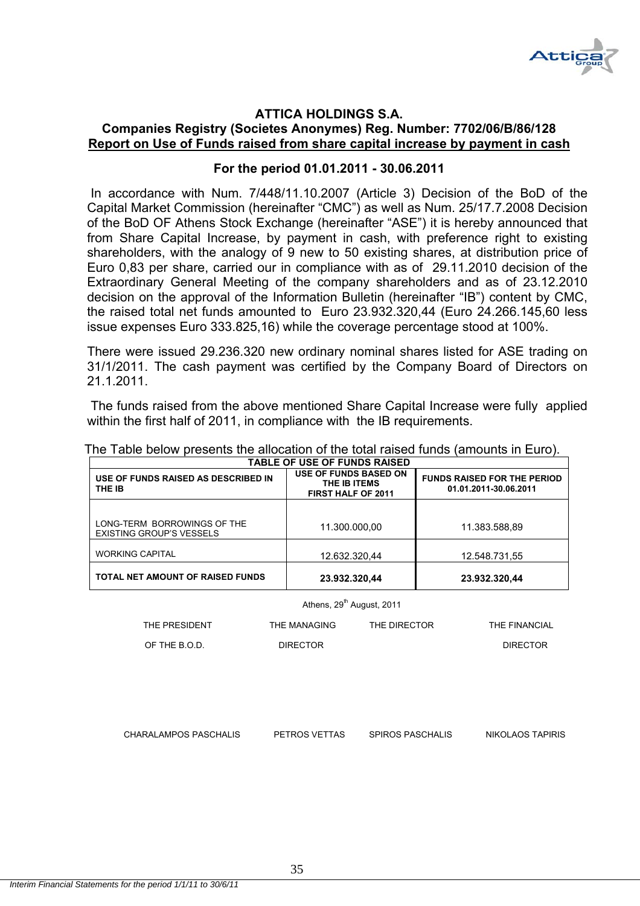

# **ATTICA HOLDINGS S.A.**

# **Companies Registry (Societes Anonymes) Reg. Number: 7702/06/Β/86/128 Report on Use of Funds raised from share capital increase by payment in cash**

# **For the period 01.01.2011 - 30.06.2011**

 In accordance with Num. 7/448/11.10.2007 (Article 3) Decision of the BoD of the Capital Market Commission (hereinafter "CMC") as well as Num. 25/17.7.2008 Decision of the BoD OF Athens Stock Exchange (hereinafter "ASE") it is hereby announced that from Share Capital Increase, by payment in cash, with preference right to existing shareholders, with the analogy of 9 new to 50 existing shares, at distribution price of Euro 0,83 per share, carried our in compliance with as of 29.11.2010 decision of the Extraordinary General Meeting of the company shareholders and as of 23.12.2010 decision on the approval of the Information Bulletin (hereinafter "IB") content by CMC, the raised total net funds amounted to Euro 23.932.320,44 (Euro 24.266.145,60 less issue expenses Euro 333.825,16) while the coverage percentage stood at 100%.

There were issued 29.236.320 new ordinary nominal shares listed for ASE trading on 31/1/2011. The cash payment was certified by the Company Board of Directors on 21.1.2011.

 The funds raised from the above mentioned Share Capital Increase were fully applied within the first half of 2011, in compliance with the IB requirements.

| USE OF FUNDS RAISED AS DESCRIBED IN<br>THE IB                  | <b>USE OF FUNDS BASED ON</b><br>THE IB ITEMS<br><b>FIRST HALF OF 2011</b> | <b>FUNDS RAISED FOR THE PERIOD</b><br>01.01.2011-30.06.2011 |  |  |  |
|----------------------------------------------------------------|---------------------------------------------------------------------------|-------------------------------------------------------------|--|--|--|
|                                                                |                                                                           |                                                             |  |  |  |
| LONG-TERM BORROWINGS OF THE<br><b>EXISTING GROUP'S VESSELS</b> | 11.300.000,00                                                             | 11.383.588,89                                               |  |  |  |
| <b>WORKING CAPITAL</b>                                         | 12.632.320.44                                                             | 12.548.731,55                                               |  |  |  |
| <b>TOTAL NET AMOUNT OF RAISED FUNDS</b>                        | 23.932.320,44                                                             | 23.932.320,44                                               |  |  |  |

The Table below presents the allocation of the total raised funds (amounts in Euro). **TABLE OF USE OF FUNDS RAISED** 

Athens, 29<sup>th</sup> August, 2011

| THE PRESIDENT | THE MANAGING    | THE DIRECTOR | THE FINANCIAL   |
|---------------|-----------------|--------------|-----------------|
| OF THE B.O.D. | <b>DIRECTOR</b> |              | <b>DIRECTOR</b> |

CHARALAMPOS PASCHALIS PETROS VETTAS SPIROS PASCHALIS NIKOLAOS TAPIRIS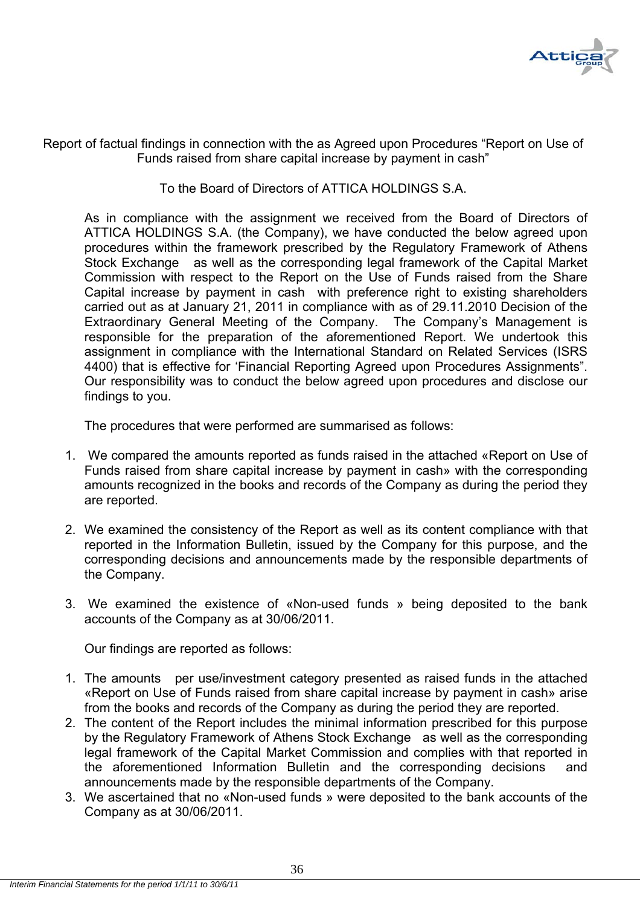

Report of factual findings in connection with the as Agreed upon Procedures "Report on Use of Funds raised from share capital increase by payment in cash"

#### To the Board of Directors of ATTICA HOLDINGS S.A.

As in compliance with the assignment we received from the Board of Directors of ATTICA HOLDINGS S.A. (the Company), we have conducted the below agreed upon procedures within the framework prescribed by the Regulatory Framework of Athens Stock Exchange as well as the corresponding legal framework of the Capital Market Commission with respect to the Report on the Use of Funds raised from the Share Capital increase by payment in cash with preference right to existing shareholders carried out as at January 21, 2011 in compliance with as of 29.11.2010 Decision of the Extraordinary General Meeting of the Company. The Company's Management is responsible for the preparation of the aforementioned Report. We undertook this assignment in compliance with the International Standard on Related Services (ISRS 4400) that is effective for 'Financial Reporting Agreed upon Procedures Assignments". Our responsibility was to conduct the below agreed upon procedures and disclose our findings to you.

The procedures that were performed are summarised as follows:

- 1. We compared the amounts reported as funds raised in the attached «Report on Use of Funds raised from share capital increase by payment in cash» with the corresponding amounts recognized in the books and records of the Company as during the period they are reported.
- 2. We examined the consistency of the Report as well as its content compliance with that reported in the Information Bulletin, issued by the Company for this purpose, and the corresponding decisions and announcements made by the responsible departments of the Company.
- 3. We examined the existence of «Non-used funds » being deposited to the bank accounts of the Company as at 30/06/2011.

Our findings are reported as follows:

- 1. The amounts per use/investment category presented as raised funds in the attached «Report on Use of Funds raised from share capital increase by payment in cash» arise from the books and records of the Company as during the period they are reported.
- 2. The content of the Report includes the minimal information prescribed for this purpose by the Regulatory Framework of Athens Stock Exchange as well as the corresponding legal framework of the Capital Market Commission and complies with that reported in the aforementioned Information Bulletin and the corresponding decisions and announcements made by the responsible departments of the Company.
- 3. We ascertained that no «Non-used funds » were deposited to the bank accounts of the Company as at 30/06/2011.